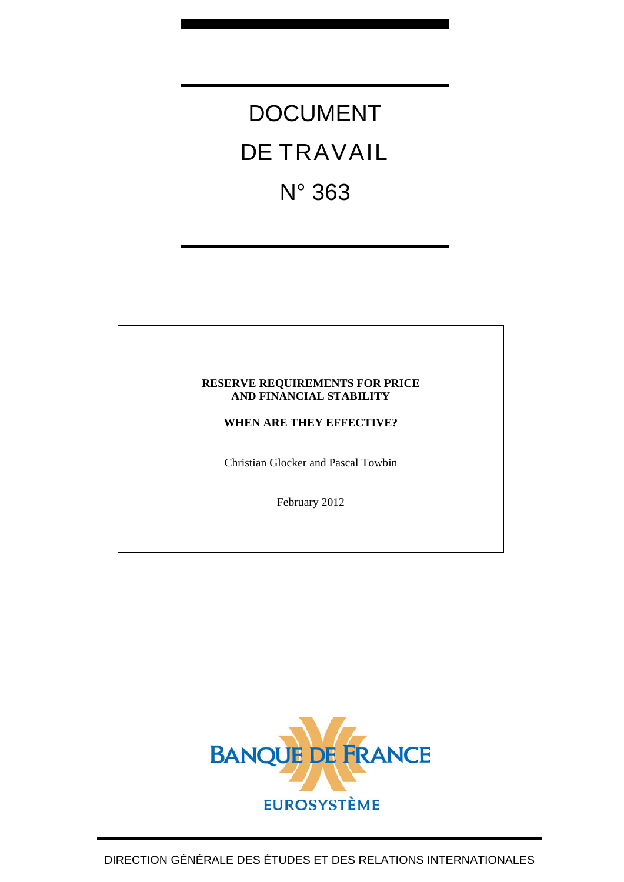# DOCUMENT DE TRAVAIL N° 363

#### **RESERVE REQUIREMENTS FOR PRICE AND FINANCIAL STABILITY**

#### **WHEN ARE THEY EFFECTIVE?**

Christian Glocker and Pascal Towbin

February 2012

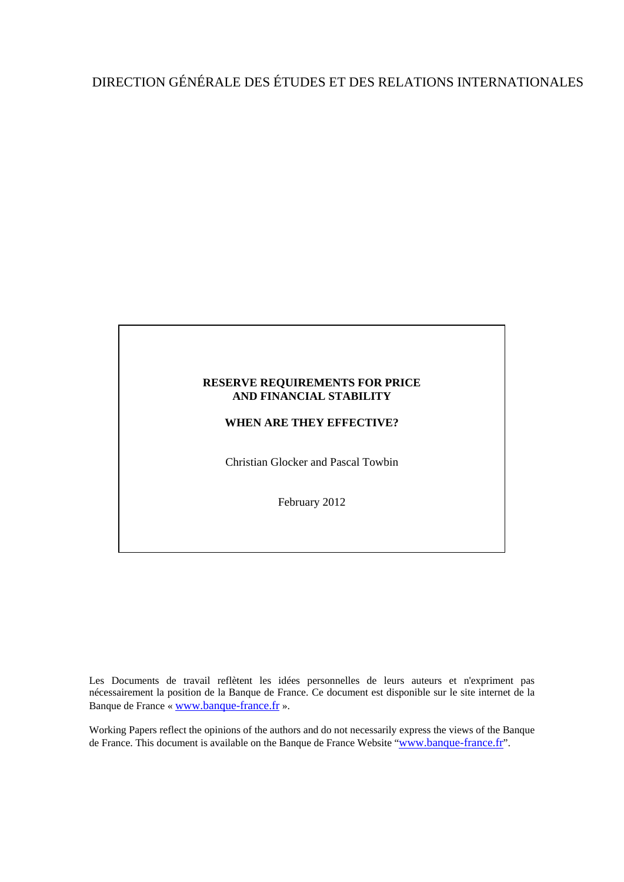## DIRECTION GÉNÉRALE DES ÉTUDES ET DES RELATIONS INTERNATIONALES

#### **RESERVE REQUIREMENTS FOR PRICE AND FINANCIAL STABILITY**

#### **WHEN ARE THEY EFFECTIVE?**

Christian Glocker and Pascal Towbin

February 2012

Les Documents de travail reflètent les idées personnelles de leurs auteurs et n'expriment pas nécessairement la position de la Banque de France. Ce document est disponible sur le site internet de la Banque de France « [www.banque-france.fr](http://www.banque-france.fr/) ».

Working Papers reflect the opinions of the authors and do not necessarily express the views of the Banque de France. This document is available on the Banque de France Website "[www.banque-france.fr](http://www.banque-france.fr/)".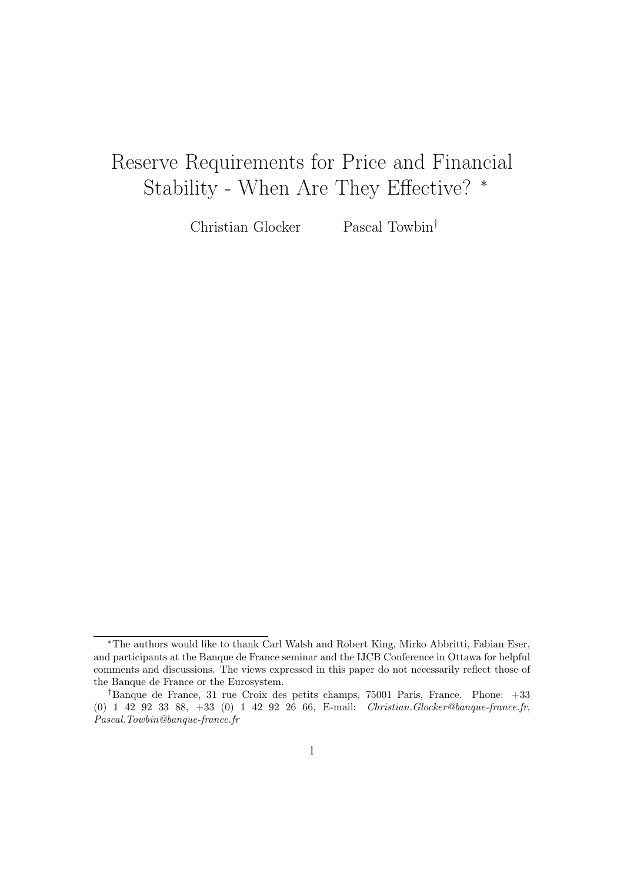## Reserve Requirements for Price and Financial Stability - When Are They Effective? <sup>∗</sup>

Christian Glocker Pascal Towbin†

<sup>∗</sup>The authors would like to thank Carl Walsh and Robert King, Mirko Abbritti, Fabian Eser, and participants at the Banque de France seminar and the IJCB Conference in Ottawa for helpful comments and discussions. The views expressed in this paper do not necessarily reflect those of the Banque de France or the Eurosystem.

<sup>†</sup>Banque de France, 31 rue Croix des petits champs, 75001 Paris, France. Phone: +33 (0) 1 42 92 33 88, +33 (0) 1 42 92 26 66, E-mail: Christian.Glocker@banque-france.fr, Pascal.Towbin@banque-france.fr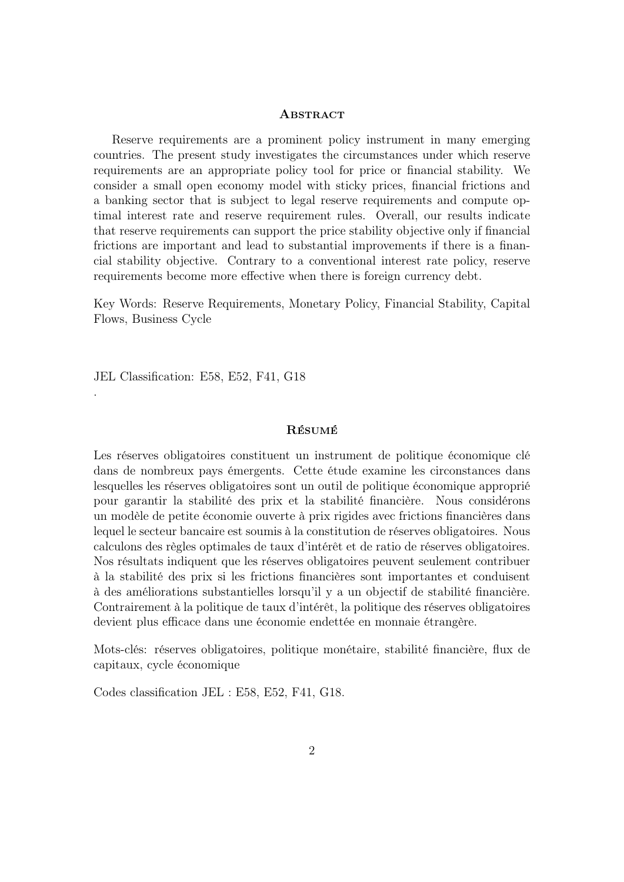#### **ABSTRACT**

Reserve requirements are a prominent policy instrument in many emerging countries. The present study investigates the circumstances under which reserve requirements are an appropriate policy tool for price or financial stability. We consider a small open economy model with sticky prices, financial frictions and a banking sector that is subject to legal reserve requirements and compute optimal interest rate and reserve requirement rules. Overall, our results indicate that reserve requirements can support the price stability objective only if financial frictions are important and lead to substantial improvements if there is a financial stability objective. Contrary to a conventional interest rate policy, reserve requirements become more effective when there is foreign currency debt.

Key Words: Reserve Requirements, Monetary Policy, Financial Stability, Capital Flows, Business Cycle

JEL Classification: E58, E52, F41, G18

.

#### Résumé

Les réserves obligatoires constituent un instrument de politique économique clé dans de nombreux pays émergents. Cette étude examine les circonstances dans lesquelles les réserves obligatoires sont un outil de politique économique approprié pour garantir la stabilité des prix et la stabilité financière. Nous considérons un modèle de petite économie ouverte à prix rigides avec frictions financières dans lequel le secteur bancaire est soumis à la constitution de réserves obligatoires. Nous calculons des règles optimales de taux d'intérêt et de ratio de réserves obligatoires. Nos résultats indiquent que les réserves obligatoires peuvent seulement contribuer à la stabilité des prix si les frictions financières sont importantes et conduisent à des améliorations substantielles lorsqu'il y a un objectif de stabilité financière. Contrairement à la politique de taux d'intérêt, la politique des réserves obligatoires devient plus efficace dans une économie endettée en monnaie étrangère.

Mots-clés: réserves obligatoires, politique monétaire, stabilité financière, flux de capitaux, cycle économique

Codes classification JEL : E58, E52, F41, G18.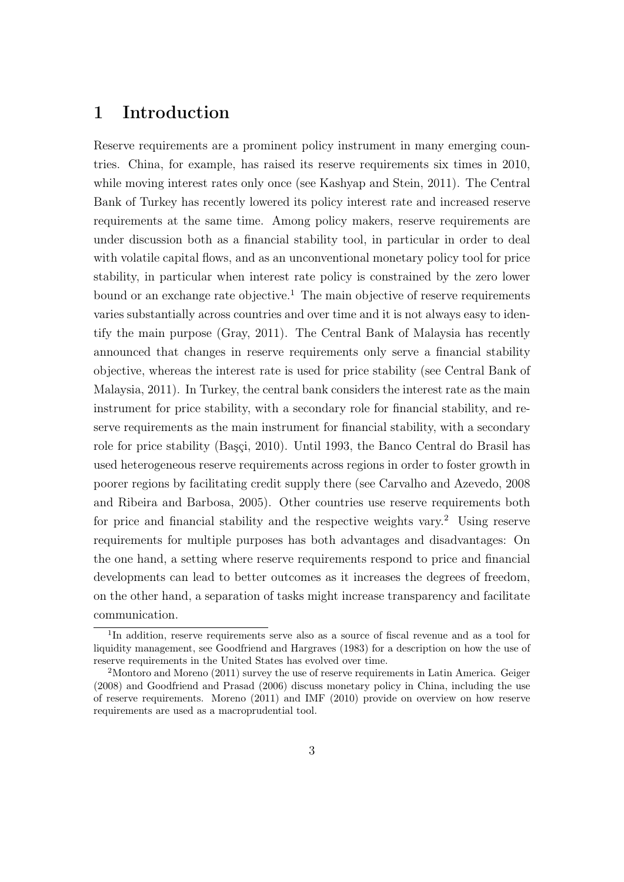### 1 Introduction

Reserve requirements are a prominent policy instrument in many emerging countries. China, for example, has raised its reserve requirements six times in 2010, while moving interest rates only once (see Kashyap and Stein, 2011). The Central Bank of Turkey has recently lowered its policy interest rate and increased reserve requirements at the same time. Among policy makers, reserve requirements are under discussion both as a financial stability tool, in particular in order to deal with volatile capital flows, and as an unconventional monetary policy tool for price stability, in particular when interest rate policy is constrained by the zero lower bound or an exchange rate objective.<sup>1</sup> The main objective of reserve requirements varies substantially across countries and over time and it is not always easy to identify the main purpose (Gray, 2011). The Central Bank of Malaysia has recently announced that changes in reserve requirements only serve a financial stability objective, whereas the interest rate is used for price stability (see Central Bank of Malaysia, 2011). In Turkey, the central bank considers the interest rate as the main instrument for price stability, with a secondary role for financial stability, and reserve requirements as the main instrument for financial stability, with a secondary role for price stability (Başçi, 2010). Until 1993, the Banco Central do Brasil has used heterogeneous reserve requirements across regions in order to foster growth in poorer regions by facilitating credit supply there (see Carvalho and Azevedo, 2008 and Ribeira and Barbosa, 2005). Other countries use reserve requirements both for price and financial stability and the respective weights vary.<sup>2</sup> Using reserve requirements for multiple purposes has both advantages and disadvantages: On the one hand, a setting where reserve requirements respond to price and financial developments can lead to better outcomes as it increases the degrees of freedom, on the other hand, a separation of tasks might increase transparency and facilitate communication.

<sup>&</sup>lt;sup>1</sup>In addition, reserve requirements serve also as a source of fiscal revenue and as a tool for liquidity management, see Goodfriend and Hargraves (1983) for a description on how the use of reserve requirements in the United States has evolved over time.

<sup>2</sup>Montoro and Moreno (2011) survey the use of reserve requirements in Latin America. Geiger (2008) and Goodfriend and Prasad (2006) discuss monetary policy in China, including the use of reserve requirements. Moreno (2011) and IMF (2010) provide on overview on how reserve requirements are used as a macroprudential tool.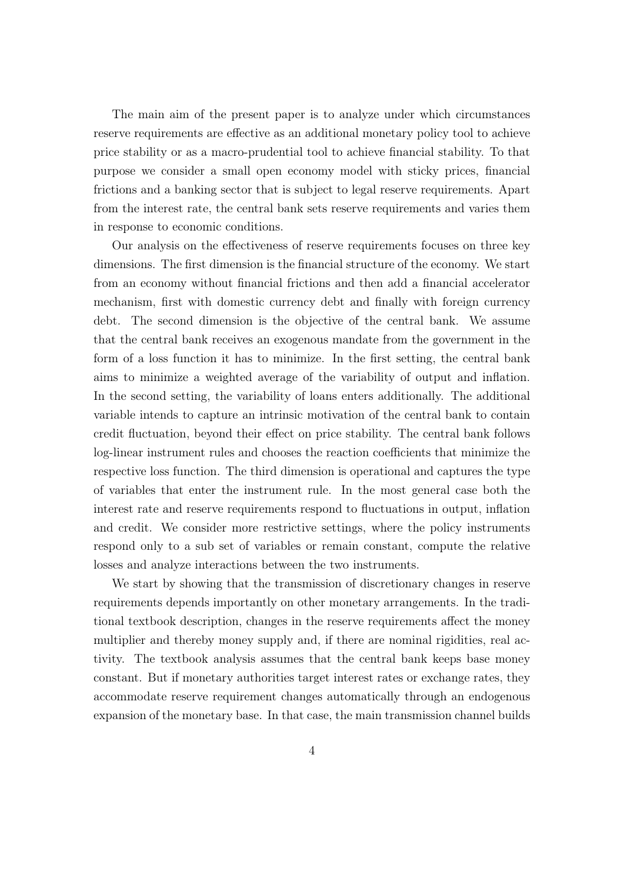The main aim of the present paper is to analyze under which circumstances reserve requirements are effective as an additional monetary policy tool to achieve price stability or as a macro-prudential tool to achieve financial stability. To that purpose we consider a small open economy model with sticky prices, financial frictions and a banking sector that is subject to legal reserve requirements. Apart from the interest rate, the central bank sets reserve requirements and varies them in response to economic conditions.

Our analysis on the effectiveness of reserve requirements focuses on three key dimensions. The first dimension is the financial structure of the economy. We start from an economy without financial frictions and then add a financial accelerator mechanism, first with domestic currency debt and finally with foreign currency debt. The second dimension is the objective of the central bank. We assume that the central bank receives an exogenous mandate from the government in the form of a loss function it has to minimize. In the first setting, the central bank aims to minimize a weighted average of the variability of output and inflation. In the second setting, the variability of loans enters additionally. The additional variable intends to capture an intrinsic motivation of the central bank to contain credit fluctuation, beyond their effect on price stability. The central bank follows log-linear instrument rules and chooses the reaction coefficients that minimize the respective loss function. The third dimension is operational and captures the type of variables that enter the instrument rule. In the most general case both the interest rate and reserve requirements respond to fluctuations in output, inflation and credit. We consider more restrictive settings, where the policy instruments respond only to a sub set of variables or remain constant, compute the relative losses and analyze interactions between the two instruments.

We start by showing that the transmission of discretionary changes in reserve requirements depends importantly on other monetary arrangements. In the traditional textbook description, changes in the reserve requirements affect the money multiplier and thereby money supply and, if there are nominal rigidities, real activity. The textbook analysis assumes that the central bank keeps base money constant. But if monetary authorities target interest rates or exchange rates, they accommodate reserve requirement changes automatically through an endogenous expansion of the monetary base. In that case, the main transmission channel builds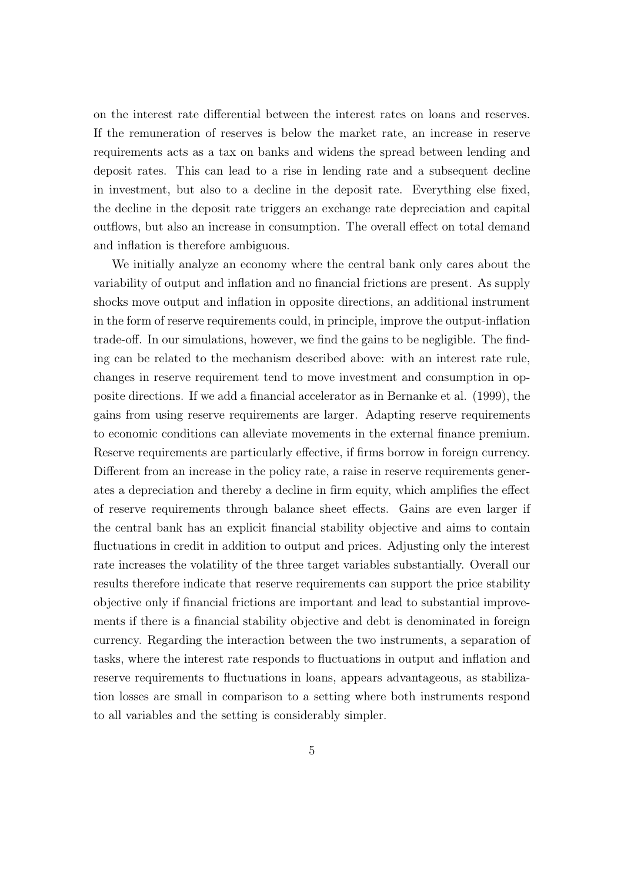on the interest rate differential between the interest rates on loans and reserves. If the remuneration of reserves is below the market rate, an increase in reserve requirements acts as a tax on banks and widens the spread between lending and deposit rates. This can lead to a rise in lending rate and a subsequent decline in investment, but also to a decline in the deposit rate. Everything else fixed, the decline in the deposit rate triggers an exchange rate depreciation and capital outflows, but also an increase in consumption. The overall effect on total demand and inflation is therefore ambiguous.

We initially analyze an economy where the central bank only cares about the variability of output and inflation and no financial frictions are present. As supply shocks move output and inflation in opposite directions, an additional instrument in the form of reserve requirements could, in principle, improve the output-inflation trade-off. In our simulations, however, we find the gains to be negligible. The finding can be related to the mechanism described above: with an interest rate rule, changes in reserve requirement tend to move investment and consumption in opposite directions. If we add a financial accelerator as in Bernanke et al. (1999), the gains from using reserve requirements are larger. Adapting reserve requirements to economic conditions can alleviate movements in the external finance premium. Reserve requirements are particularly effective, if firms borrow in foreign currency. Different from an increase in the policy rate, a raise in reserve requirements generates a depreciation and thereby a decline in firm equity, which amplifies the effect of reserve requirements through balance sheet effects. Gains are even larger if the central bank has an explicit financial stability objective and aims to contain fluctuations in credit in addition to output and prices. Adjusting only the interest rate increases the volatility of the three target variables substantially. Overall our results therefore indicate that reserve requirements can support the price stability objective only if financial frictions are important and lead to substantial improvements if there is a financial stability objective and debt is denominated in foreign currency. Regarding the interaction between the two instruments, a separation of tasks, where the interest rate responds to fluctuations in output and inflation and reserve requirements to fluctuations in loans, appears advantageous, as stabilization losses are small in comparison to a setting where both instruments respond to all variables and the setting is considerably simpler.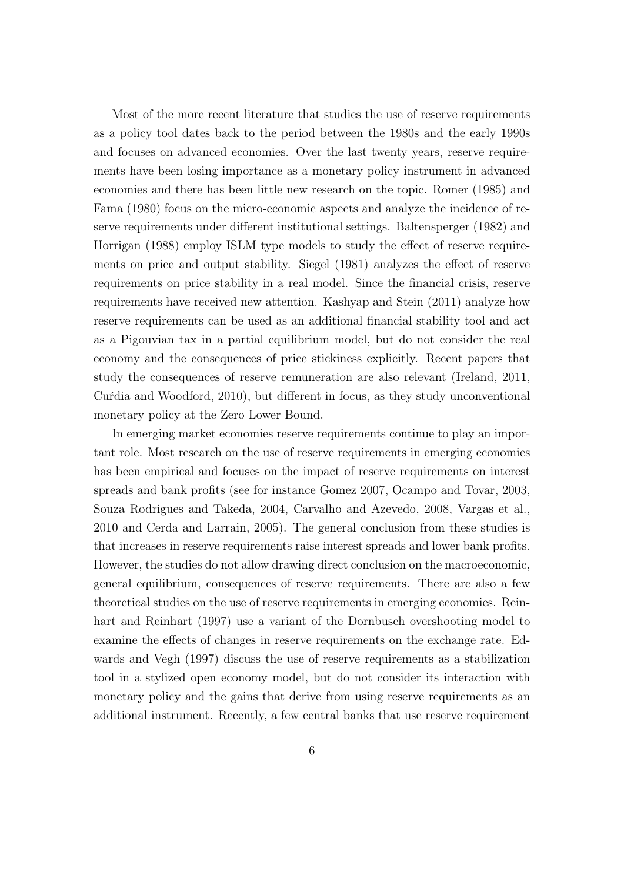Most of the more recent literature that studies the use of reserve requirements as a policy tool dates back to the period between the 1980s and the early 1990s and focuses on advanced economies. Over the last twenty years, reserve requirements have been losing importance as a monetary policy instrument in advanced economies and there has been little new research on the topic. Romer (1985) and Fama (1980) focus on the micro-economic aspects and analyze the incidence of reserve requirements under different institutional settings. Baltensperger (1982) and Horrigan (1988) employ ISLM type models to study the effect of reserve requirements on price and output stability. Siegel (1981) analyzes the effect of reserve requirements on price stability in a real model. Since the financial crisis, reserve requirements have received new attention. Kashyap and Stein (2011) analyze how reserve requirements can be used as an additional financial stability tool and act as a Pigouvian tax in a partial equilibrium model, but do not consider the real economy and the consequences of price stickiness explicitly. Recent papers that study the consequences of reserve remuneration are also relevant (Ireland, 2011, Cuŕdia and Woodford, 2010), but different in focus, as they study unconventional monetary policy at the Zero Lower Bound.

In emerging market economies reserve requirements continue to play an important role. Most research on the use of reserve requirements in emerging economies has been empirical and focuses on the impact of reserve requirements on interest spreads and bank profits (see for instance Gomez 2007, Ocampo and Tovar, 2003, Souza Rodrigues and Takeda, 2004, Carvalho and Azevedo, 2008, Vargas et al., 2010 and Cerda and Larrain, 2005). The general conclusion from these studies is that increases in reserve requirements raise interest spreads and lower bank profits. However, the studies do not allow drawing direct conclusion on the macroeconomic, general equilibrium, consequences of reserve requirements. There are also a few theoretical studies on the use of reserve requirements in emerging economies. Reinhart and Reinhart (1997) use a variant of the Dornbusch overshooting model to examine the effects of changes in reserve requirements on the exchange rate. Edwards and Vegh (1997) discuss the use of reserve requirements as a stabilization tool in a stylized open economy model, but do not consider its interaction with monetary policy and the gains that derive from using reserve requirements as an additional instrument. Recently, a few central banks that use reserve requirement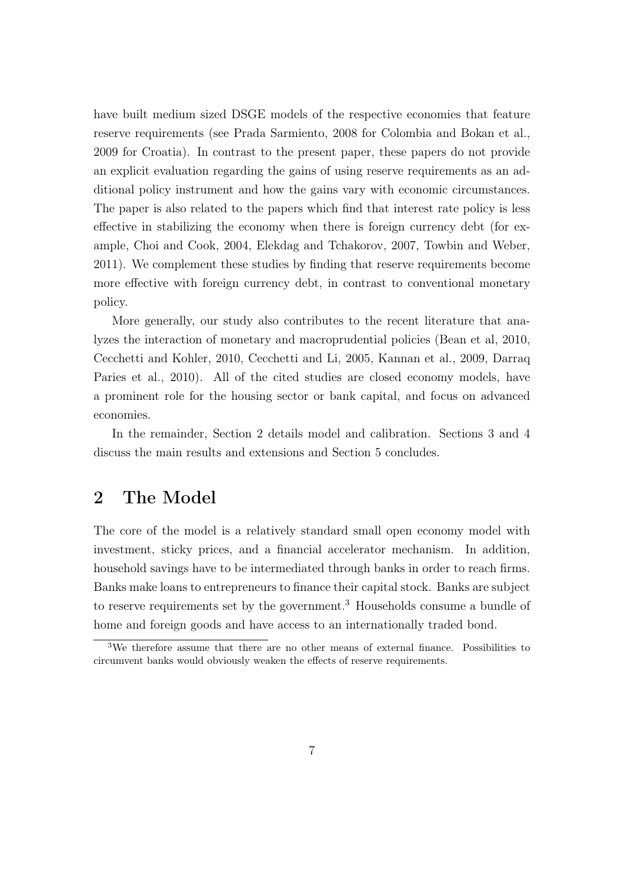have built medium sized DSGE models of the respective economies that feature reserve requirements (see Prada Sarmiento, 2008 for Colombia and Bokan et al., 2009 for Croatia). In contrast to the present paper, these papers do not provide an explicit evaluation regarding the gains of using reserve requirements as an additional policy instrument and how the gains vary with economic circumstances. The paper is also related to the papers which find that interest rate policy is less effective in stabilizing the economy when there is foreign currency debt (for example, Choi and Cook, 2004, Elekdag and Tchakorov, 2007, Towbin and Weber, 2011). We complement these studies by finding that reserve requirements become more effective with foreign currency debt, in contrast to conventional monetary policy.

More generally, our study also contributes to the recent literature that analyzes the interaction of monetary and macroprudential policies (Bean et al, 2010, Cecchetti and Kohler, 2010, Cecchetti and Li, 2005, Kannan et al., 2009, Darraq Paries et al., 2010). All of the cited studies are closed economy models, have a prominent role for the housing sector or bank capital, and focus on advanced economies.

In the remainder, Section 2 details model and calibration. Sections 3 and 4 discuss the main results and extensions and Section 5 concludes.

### 2 The Model

The core of the model is a relatively standard small open economy model with investment, sticky prices, and a financial accelerator mechanism. In addition, household savings have to be intermediated through banks in order to reach firms. Banks make loans to entrepreneurs to finance their capital stock. Banks are subject to reserve requirements set by the government.<sup>3</sup> Households consume a bundle of home and foreign goods and have access to an internationally traded bond.

<sup>&</sup>lt;sup>3</sup>We therefore assume that there are no other means of external finance. Possibilities to circumvent banks would obviously weaken the effects of reserve requirements.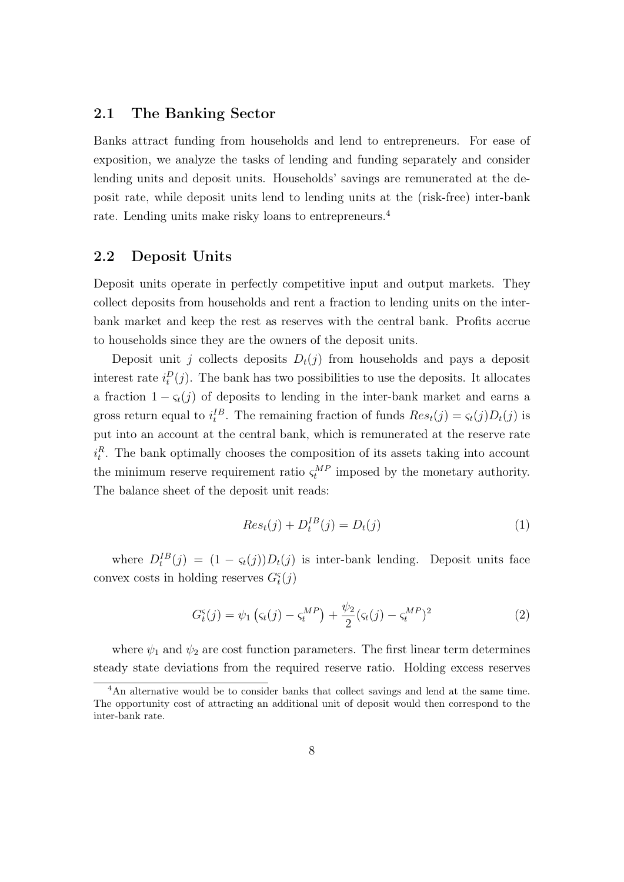#### 2.1 The Banking Sector

Banks attract funding from households and lend to entrepreneurs. For ease of exposition, we analyze the tasks of lending and funding separately and consider lending units and deposit units. Households' savings are remunerated at the deposit rate, while deposit units lend to lending units at the (risk-free) inter-bank rate. Lending units make risky loans to entrepreneurs.<sup>4</sup>

#### 2.2 Deposit Units

Deposit units operate in perfectly competitive input and output markets. They collect deposits from households and rent a fraction to lending units on the interbank market and keep the rest as reserves with the central bank. Profits accrue to households since they are the owners of the deposit units.

Deposit unit j collects deposits  $D_t(j)$  from households and pays a deposit interest rate  $i_t^D(j)$ . The bank has two possibilities to use the deposits. It allocates a fraction  $1 - \varsigma_t(j)$  of deposits to lending in the inter-bank market and earns a gross return equal to  $i_t^{IB}$ . The remaining fraction of funds  $Res_t(j) = \varsigma_t(j)D_t(j)$  is put into an account at the central bank, which is remunerated at the reserve rate  $i_t^R$ . The bank optimally chooses the composition of its assets taking into account the minimum reserve requirement ratio  $\zeta_t^{MP}$  imposed by the monetary authority. The balance sheet of the deposit unit reads:

$$
Rest(j) + DtIB(j) = Dt(j)
$$
\n(1)

where  $D_t^{IB}(j) = (1 - \varsigma_t(j))D_t(j)$  is inter-bank lending. Deposit units face convex costs in holding reserves  $G_t^s(j)$ 

$$
G_t^{\varsigma}(j) = \psi_1 \left( \varsigma_t(j) - \varsigma_t^{MP} \right) + \frac{\psi_2}{2} (\varsigma_t(j) - \varsigma_t^{MP})^2 \tag{2}
$$

where  $\psi_1$  and  $\psi_2$  are cost function parameters. The first linear term determines steady state deviations from the required reserve ratio. Holding excess reserves

<sup>4</sup>An alternative would be to consider banks that collect savings and lend at the same time. The opportunity cost of attracting an additional unit of deposit would then correspond to the inter-bank rate.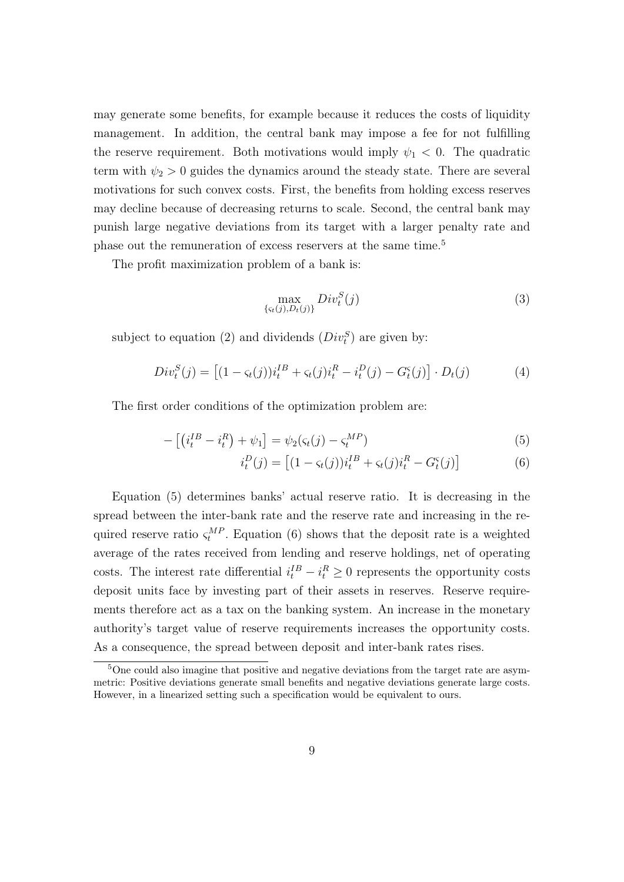may generate some benefits, for example because it reduces the costs of liquidity management. In addition, the central bank may impose a fee for not fulfilling the reserve requirement. Both motivations would imply  $\psi_1 < 0$ . The quadratic term with  $\psi_2 > 0$  guides the dynamics around the steady state. There are several motivations for such convex costs. First, the benefits from holding excess reserves may decline because of decreasing returns to scale. Second, the central bank may punish large negative deviations from its target with a larger penalty rate and phase out the remuneration of excess reservers at the same time.<sup>5</sup>

The profit maximization problem of a bank is:

$$
\max_{\{s_t(j), D_t(j)\}} Div_t^S(j)
$$
\n(3)

subject to equation (2) and dividends  $(Div_t^S)$  are given by:

$$
Div_t^S(j) = [(1 - \varsigma_t(j))i_t^{IB} + \varsigma_t(j)i_t^{R} - i_t^{D}(j) - G_t^{S}(j)] \cdot D_t(j)
$$
(4)

The first order conditions of the optimization problem are:

$$
-[(i_t^{IB} - i_t^R) + \psi_1] = \psi_2(\varsigma_t(j) - \varsigma_t^{MP})
$$
\n(5)

$$
i_t^D(j) = [(1 - \varsigma_t(j))i_t^{IB} + \varsigma_t(j)i_t^R - G_t^{\varsigma}(j)] \tag{6}
$$

Equation (5) determines banks' actual reserve ratio. It is decreasing in the spread between the inter-bank rate and the reserve rate and increasing in the required reserve ratio  $\zeta_t^{MP}$ . Equation (6) shows that the deposit rate is a weighted average of the rates received from lending and reserve holdings, net of operating costs. The interest rate differential  $i_t^{IB} - i_t^R \geq 0$  represents the opportunity costs deposit units face by investing part of their assets in reserves. Reserve requirements therefore act as a tax on the banking system. An increase in the monetary authority's target value of reserve requirements increases the opportunity costs. As a consequence, the spread between deposit and inter-bank rates rises.

<sup>5</sup>One could also imagine that positive and negative deviations from the target rate are asymmetric: Positive deviations generate small benefits and negative deviations generate large costs. However, in a linearized setting such a specification would be equivalent to ours.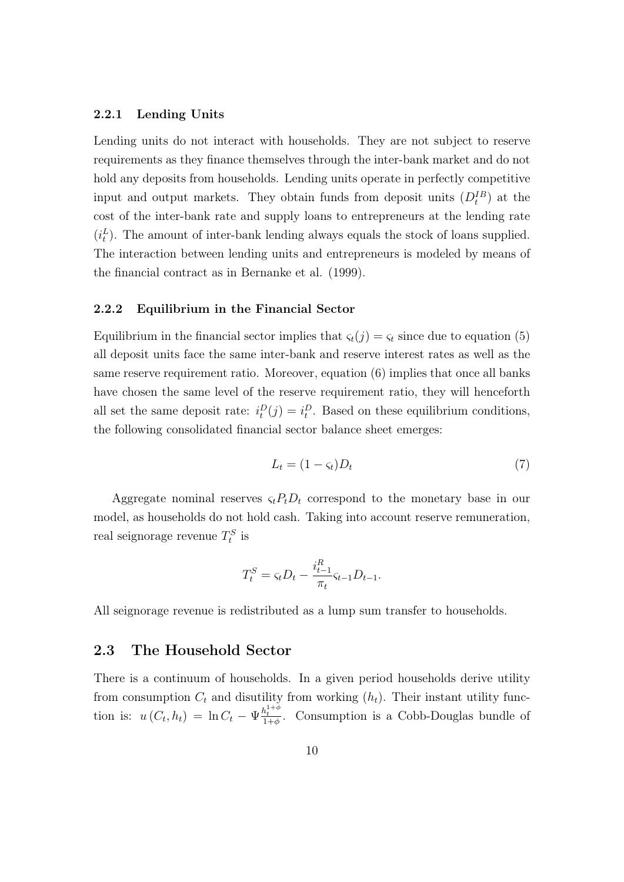#### 2.2.1 Lending Units

Lending units do not interact with households. They are not subject to reserve requirements as they finance themselves through the inter-bank market and do not hold any deposits from households. Lending units operate in perfectly competitive input and output markets. They obtain funds from deposit units  $(D_t^{IB})$  at the cost of the inter-bank rate and supply loans to entrepreneurs at the lending rate  $(i_t^L)$ . The amount of inter-bank lending always equals the stock of loans supplied. The interaction between lending units and entrepreneurs is modeled by means of the financial contract as in Bernanke et al. (1999).

#### 2.2.2 Equilibrium in the Financial Sector

Equilibrium in the financial sector implies that  $\varsigma_t(j) = \varsigma_t$  since due to equation (5) all deposit units face the same inter-bank and reserve interest rates as well as the same reserve requirement ratio. Moreover, equation (6) implies that once all banks have chosen the same level of the reserve requirement ratio, they will henceforth all set the same deposit rate:  $i_t^D(j) = i_t^D$ . Based on these equilibrium conditions, the following consolidated financial sector balance sheet emerges:

$$
L_t = (1 - \varsigma_t)D_t \tag{7}
$$

Aggregate nominal reserves  $\varsigma_t P_t D_t$  correspond to the monetary base in our model, as households do not hold cash. Taking into account reserve remuneration, real seignorage revenue  $T_t^S$  is

$$
T_t^S = \varsigma_t D_t - \frac{i_{t-1}^R}{\pi_t} \varsigma_{t-1} D_{t-1}.
$$

All seignorage revenue is redistributed as a lump sum transfer to households.

#### 2.3 The Household Sector

There is a continuum of households. In a given period households derive utility from consumption  $C_t$  and disutility from working  $(h_t)$ . Their instant utility function is:  $u(C_t, h_t) = \ln C_t - \Psi \frac{h_t^{1+\phi}}{1+\phi}$ . Consumption is a Cobb-Douglas bundle of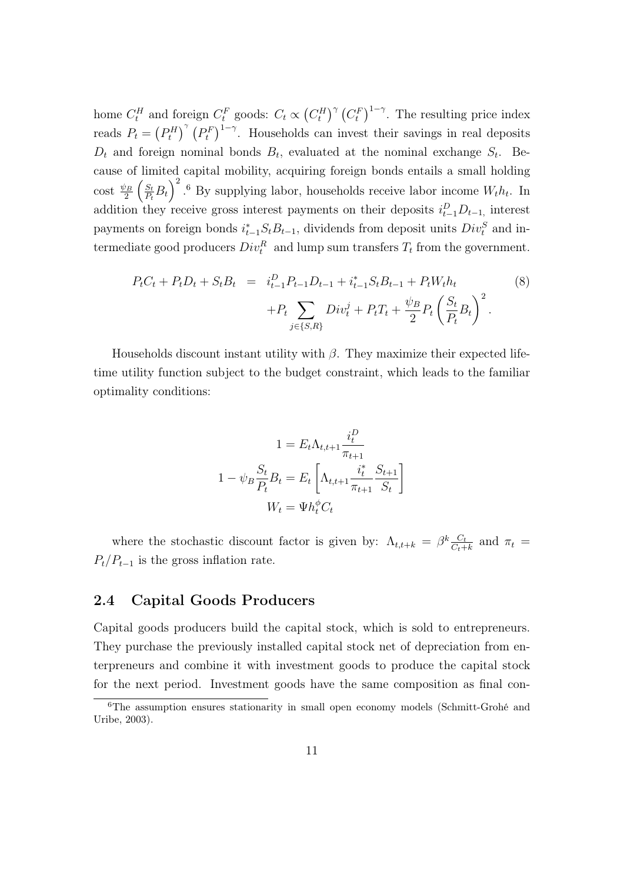home  $C_t^H$  and foreign  $C_t^F$  goods:  $C_t \propto (C_t^H)^{\gamma} (C_t^F)^{1-\gamma}$ . The resulting price index reads  $P_t = (P_t^H)^{\gamma} (P_t^F)^{1-\gamma}$ . Households can invest their savings in real deposits  $D_t$  and foreign nominal bonds  $B_t$ , evaluated at the nominal exchange  $S_t$ . Because of limited capital mobility, acquiring foreign bonds entails a small holding  $\cosh \frac{\psi_B}{2} \left( \frac{S_t}{P_t} \right)$  $\left(\frac{S_t}{P_t}B_t\right)^2$ .<sup>6</sup> By supplying labor, households receive labor income  $W_th_t$ . In addition they receive gross interest payments on their deposits  $i_{t-1}^D D_{t-1}$ , interest payments on foreign bonds  $i_{t-1}^* S_t B_{t-1}$ , dividends from deposit units  $Div_t^S$  and intermediate good producers  $Div_t^R$  and lump sum transfers  $T_t$  from the government.

$$
P_t C_t + P_t D_t + S_t B_t = i_{t-1}^D P_{t-1} D_{t-1} + i_{t-1}^* S_t B_{t-1} + P_t W_t h_t
$$
  
+
$$
P_t \sum_{j \in \{S, R\}} Div_t^j + P_t T_t + \frac{\psi_B}{2} P_t \left(\frac{S_t}{P_t} B_t\right)^2.
$$
 (8)

Households discount instant utility with  $\beta$ . They maximize their expected lifetime utility function subject to the budget constraint, which leads to the familiar optimality conditions:

$$
1 = E_t \Lambda_{t,t+1} \frac{i_t^D}{\pi_{t+1}}
$$

$$
1 - \psi_B \frac{S_t}{P_t} B_t = E_t \left[ \Lambda_{t,t+1} \frac{i_t^*}{\pi_{t+1}} \frac{S_{t+1}}{S_t} \right]
$$

$$
W_t = \Psi h_t^{\phi} C_t
$$

where the stochastic discount factor is given by:  $\Lambda_{t,t+k} = \beta^k \frac{C_t}{C_{t}}$  $\frac{C_t}{C_t+k}$  and  $\pi_t =$  $P_t/P_{t-1}$  is the gross inflation rate.

#### 2.4 Capital Goods Producers

Capital goods producers build the capital stock, which is sold to entrepreneurs. They purchase the previously installed capital stock net of depreciation from enterpreneurs and combine it with investment goods to produce the capital stock for the next period. Investment goods have the same composition as final con-

 $\overline{6}$ The assumption ensures stationarity in small open economy models (Schmitt-Grohé and Uribe, 2003).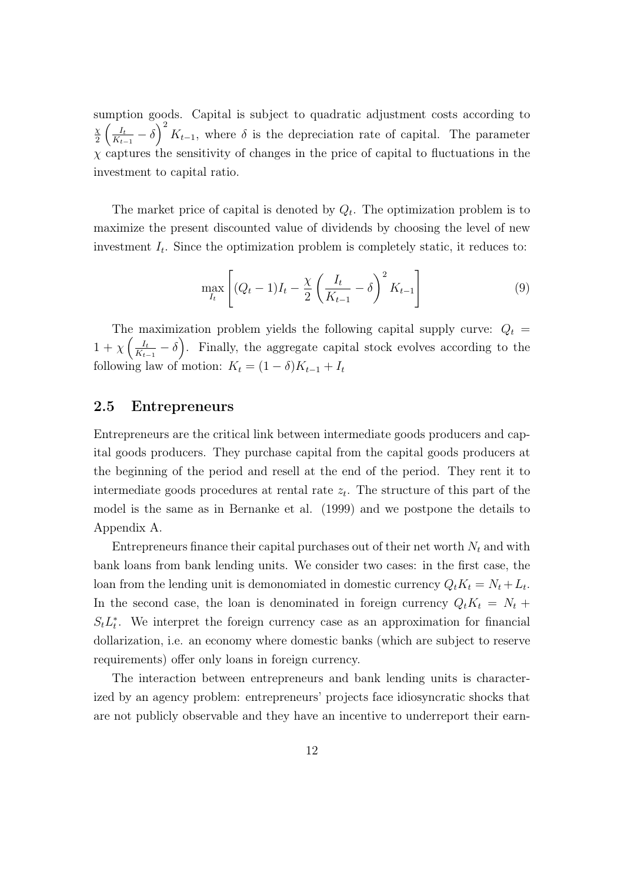sumption goods. Capital is subject to quadratic adjustment costs according to χ  $\frac{\chi}{2}\left(\frac{I_t}{K_{t-}}\right)$  $\frac{I_t}{K_{t-1}} - \delta$   $\bigg)^2 K_{t-1}$ , where  $\delta$  is the depreciation rate of capital. The parameter  $\chi$  captures the sensitivity of changes in the price of capital to fluctuations in the investment to capital ratio.

The market price of capital is denoted by  $Q_t$ . The optimization problem is to maximize the present discounted value of dividends by choosing the level of new investment  $I_t$ . Since the optimization problem is completely static, it reduces to:

$$
\max_{I_t} \left[ (Q_t - 1)I_t - \frac{\chi}{2} \left( \frac{I_t}{K_{t-1}} - \delta \right)^2 K_{t-1} \right] \tag{9}
$$

The maximization problem yields the following capital supply curve:  $Q_t =$  $1+\chi\left(\frac{I_t}{K_t}\right)$  $\frac{I_t}{K_{t-1}} - \delta$ . Finally, the aggregate capital stock evolves according to the following law of motion:  $K_t = (1 - \delta)K_{t-1} + I_t$ 

#### 2.5 Entrepreneurs

Entrepreneurs are the critical link between intermediate goods producers and capital goods producers. They purchase capital from the capital goods producers at the beginning of the period and resell at the end of the period. They rent it to intermediate goods procedures at rental rate  $z_t$ . The structure of this part of the model is the same as in Bernanke et al. (1999) and we postpone the details to Appendix A.

Entrepreneurs finance their capital purchases out of their net worth  $N_t$  and with bank loans from bank lending units. We consider two cases: in the first case, the loan from the lending unit is demonomiated in domestic currency  $Q_t K_t = N_t + L_t$ . In the second case, the loan is denominated in foreign currency  $Q_t K_t = N_t +$  $S_t L_t^*$ . We interpret the foreign currency case as an approximation for financial dollarization, i.e. an economy where domestic banks (which are subject to reserve requirements) offer only loans in foreign currency.

The interaction between entrepreneurs and bank lending units is characterized by an agency problem: entrepreneurs' projects face idiosyncratic shocks that are not publicly observable and they have an incentive to underreport their earn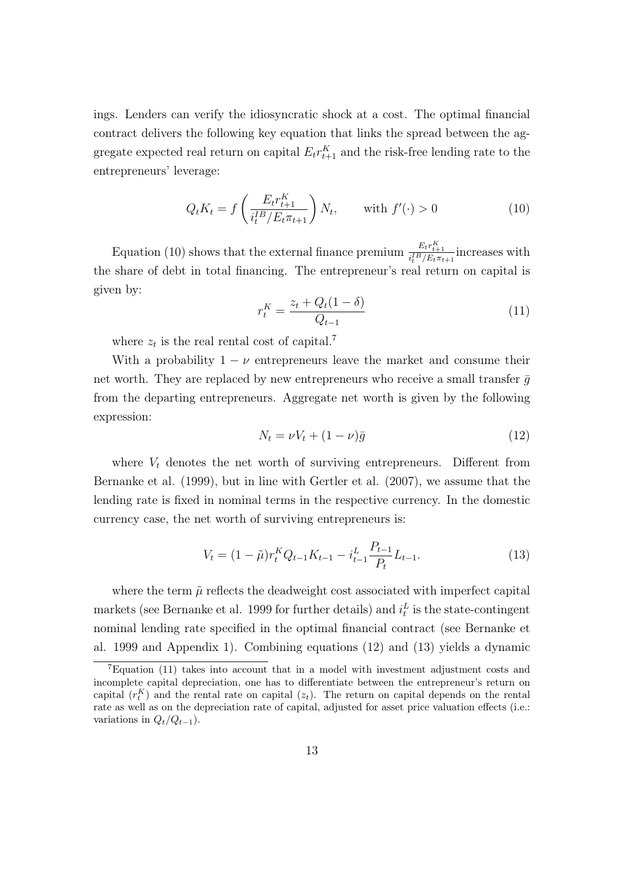ings. Lenders can verify the idiosyncratic shock at a cost. The optimal financial contract delivers the following key equation that links the spread between the aggregate expected real return on capital  $E_t r_{t+1}^K$  and the risk-free lending rate to the entrepreneurs' leverage:

$$
Q_t K_t = f\left(\frac{E_t r_{t+1}^K}{i_t^{IB}/E_t \pi_{t+1}}\right) N_t, \quad \text{with } f'(\cdot) > 0 \tag{10}
$$

Equation (10) shows that the external finance premium  $\frac{E_t r_{t+1}^K}{i_t^B/E_t\pi_{t+1}}$  increases with the share of debt in total financing. The entrepreneur's real return on capital is given by:

$$
r_t^K = \frac{z_t + Q_t(1 - \delta)}{Q_{t-1}}
$$
\n(11)

where  $z_t$  is the real rental cost of capital.<sup>7</sup>

With a probability  $1 - \nu$  entrepreneurs leave the market and consume their net worth. They are replaced by new entrepreneurs who receive a small transfer  $\bar{q}$ from the departing entrepreneurs. Aggregate net worth is given by the following expression:

$$
N_t = \nu V_t + (1 - \nu)\bar{g} \tag{12}
$$

where  $V_t$  denotes the net worth of surviving entrepreneurs. Different from Bernanke et al. (1999), but in line with Gertler et al. (2007), we assume that the lending rate is fixed in nominal terms in the respective currency. In the domestic currency case, the net worth of surviving entrepreneurs is:

$$
V_t = (1 - \tilde{\mu})r_t^K Q_{t-1} K_{t-1} - i_{t-1}^L \frac{P_{t-1}}{P_t} L_{t-1}.
$$
\n(13)

where the term  $\tilde{\mu}$  reflects the deadweight cost associated with imperfect capital markets (see Bernanke et al. 1999 for further details) and  $i_t^L$  is the state-contingent nominal lending rate specified in the optimal financial contract (see Bernanke et al. 1999 and Appendix 1). Combining equations (12) and (13) yields a dynamic

<sup>7</sup>Equation (11) takes into account that in a model with investment adjustment costs and incomplete capital depreciation, one has to differentiate between the entrepreneur's return on capital  $(r_t^K)$  and the rental rate on capital  $(z_t)$ . The return on capital depends on the rental rate as well as on the depreciation rate of capital, adjusted for asset price valuation effects (i.e.: variations in  $Q_t/Q_{t-1}$ ).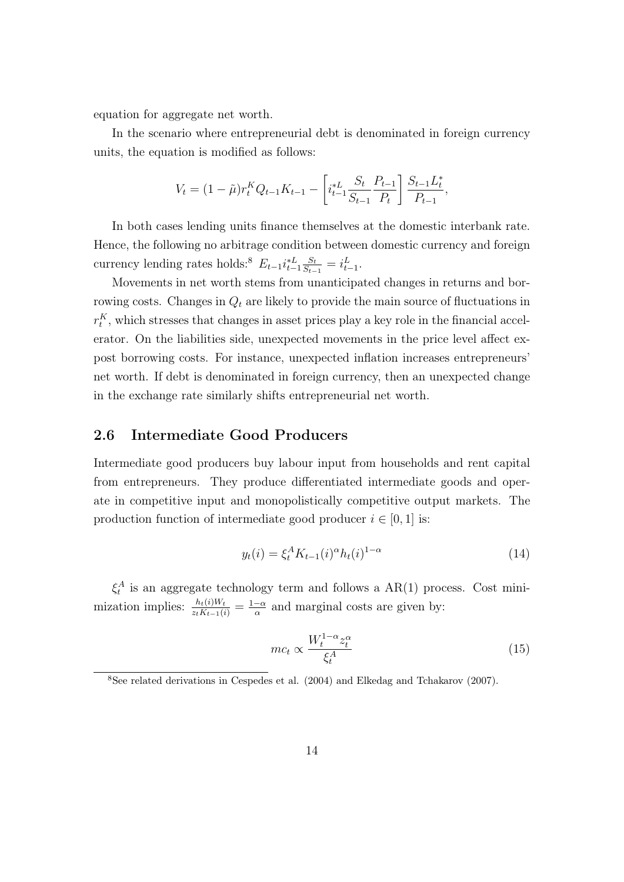equation for aggregate net worth.

In the scenario where entrepreneurial debt is denominated in foreign currency units, the equation is modified as follows:

$$
V_t = (1 - \tilde{\mu})r_t^K Q_{t-1} K_{t-1} - \left[i_{t-1}^{*L} \frac{S_t}{S_{t-1}} \frac{P_{t-1}}{P_t}\right] \frac{S_{t-1} L_t^*}{P_{t-1}},
$$

In both cases lending units finance themselves at the domestic interbank rate. Hence, the following no arbitrage condition between domestic currency and foreign currency lending rates holds:<sup>8</sup>  $E_{t-1} i_{t-1}^{*L} \frac{S_t}{S_{t-1}}$  $\frac{S_t}{S_{t-1}} = i_{t-1}^L.$ 

Movements in net worth stems from unanticipated changes in returns and borrowing costs. Changes in  $Q_t$  are likely to provide the main source of fluctuations in  $r_t^K$ , which stresses that changes in asset prices play a key role in the financial accelerator. On the liabilities side, unexpected movements in the price level affect expost borrowing costs. For instance, unexpected inflation increases entrepreneurs' net worth. If debt is denominated in foreign currency, then an unexpected change in the exchange rate similarly shifts entrepreneurial net worth.

#### 2.6 Intermediate Good Producers

Intermediate good producers buy labour input from households and rent capital from entrepreneurs. They produce differentiated intermediate goods and operate in competitive input and monopolistically competitive output markets. The production function of intermediate good producer  $i \in [0, 1]$  is:

$$
y_t(i) = \xi_t^A K_{t-1}(i)^{\alpha} h_t(i)^{1-\alpha}
$$
 (14)

 $\xi_t^A$  is an aggregate technology term and follows a AR(1) process. Cost minimization implies:  $\frac{h_t(i)W_t}{z_tK_{t-1}(i)} = \frac{1-\alpha}{\alpha}$  $\frac{-\alpha}{\alpha}$  and marginal costs are given by:

$$
mc_t \propto \frac{W_t^{1-\alpha} z_t^{\alpha}}{\xi_t^A} \tag{15}
$$

<sup>8</sup>See related derivations in Cespedes et al. (2004) and Elkedag and Tchakarov (2007).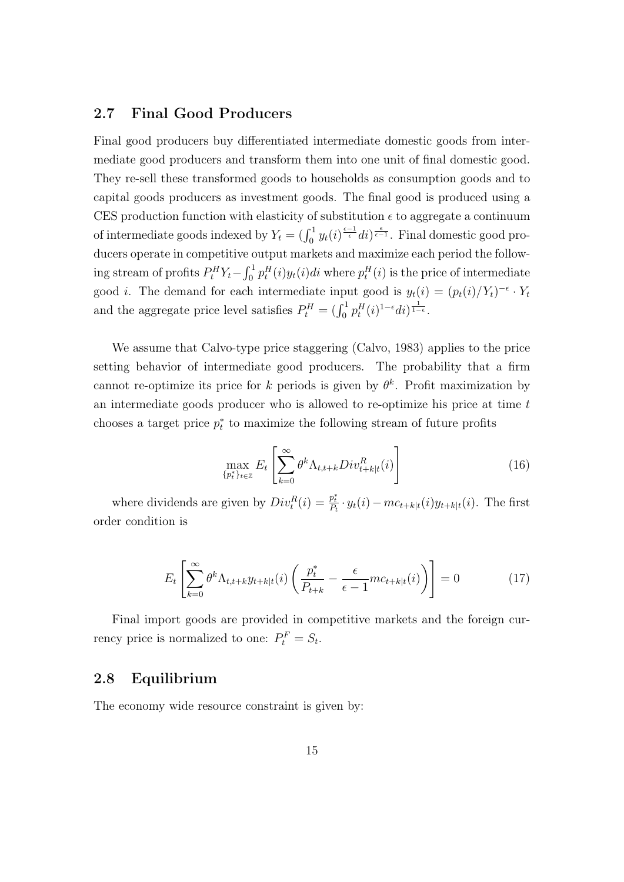#### 2.7 Final Good Producers

Final good producers buy differentiated intermediate domestic goods from intermediate good producers and transform them into one unit of final domestic good. They re-sell these transformed goods to households as consumption goods and to capital goods producers as investment goods. The final good is produced using a CES production function with elasticity of substitution  $\epsilon$  to aggregate a continuum of intermediate goods indexed by  $Y_t = \left(\int_0^1 y_t(i)^{\frac{\epsilon-1}{\epsilon}} di\right)^{\frac{\epsilon}{\epsilon-1}}$ . Final domestic good producers operate in competitive output markets and maximize each period the following stream of profits  $P_t^H Y_t - \int_0^1 p_t^H(i) y_t(i) di$  where  $p_t^H(i)$  is the price of intermediate good *i*. The demand for each intermediate input good is  $y_t(i) = (p_t(i)/Y_t)^{-\epsilon} \cdot Y_t$ and the aggregate price level satisfies  $P_t^H = \left(\int_0^1 p_t^H(i)^{1-\epsilon} di\right)^{\frac{1}{1-\epsilon}}$ .

We assume that Calvo-type price staggering (Calvo, 1983) applies to the price setting behavior of intermediate good producers. The probability that a firm cannot re-optimize its price for k periods is given by  $\theta^k$ . Profit maximization by an intermediate goods producer who is allowed to re-optimize his price at time  $t$ chooses a target price  $p_t^*$  to maximize the following stream of future profits

$$
\max_{\{p_t^*\}_{t \in \mathbb{Z}}} E_t \left[ \sum_{k=0}^{\infty} \theta^k \Lambda_{t,t+k} Div_{t+k|t}^R(i) \right] \tag{16}
$$

where dividends are given by  $Div_t^R(i) = \frac{p_t^*}{P_t} \cdot y_t(i) - mc_{t+k|t}(i)y_{t+k|t}(i)$ . The first order condition is

$$
E_t\left[\sum_{k=0}^{\infty} \theta^k \Lambda_{t,t+k} y_{t+k|t}(i) \left(\frac{p_t^*}{P_{t+k}} - \frac{\epsilon}{\epsilon - 1} m c_{t+k|t}(i)\right)\right] = 0 \tag{17}
$$

Final import goods are provided in competitive markets and the foreign currency price is normalized to one:  $P_t^F = S_t$ .

#### 2.8 Equilibrium

The economy wide resource constraint is given by: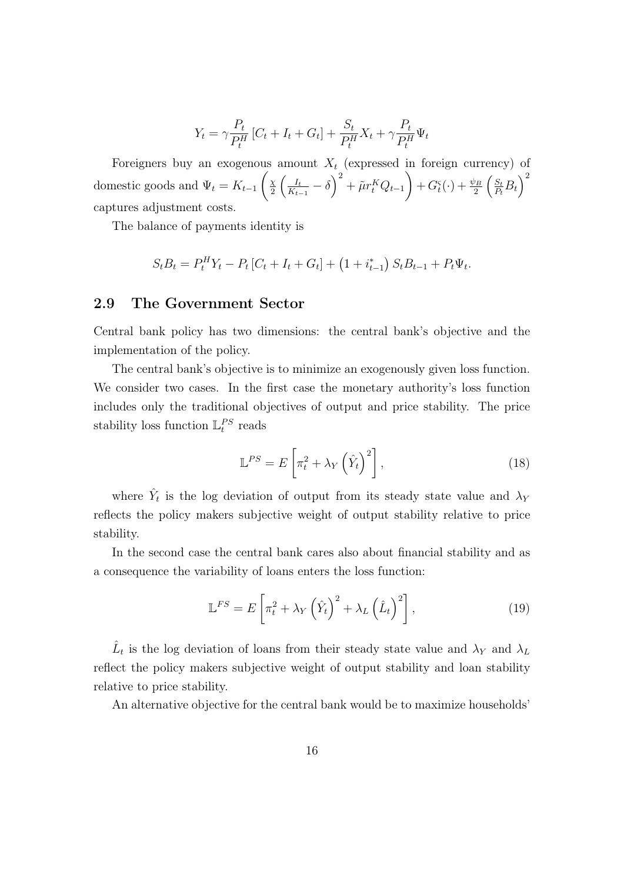$$
Y_t = \gamma \frac{P_t}{P_t^H} \left[ C_t + I_t + G_t \right] + \frac{S_t}{P_t^H} X_t + \gamma \frac{P_t}{P_t^H} \Psi_t
$$

Foreigners buy an exogenous amount  $X_t$  (expressed in foreign currency) of domestic goods and  $\Psi_t = K_{t-1}$  $\int x$  $\frac{\chi}{2}\left(\frac{I_t}{K_{t-}}\right)$  $\frac{I_t}{K_{t-1}} - \delta\Big)^2 + \tilde{\mu} r_t^K Q_{t-1}$  $\setminus$  $+ G_t^{\varsigma}(\cdot) + \frac{\psi_B}{2} \left( \frac{S_t}{P_t} \right)$  $\frac{S_t}{P_t}B_t\Big)^2$ captures adjustment costs.

The balance of payments identity is

$$
S_t B_t = P_t^H Y_t - P_t [C_t + I_t + G_t] + (1 + i_{t-1}^*) S_t B_{t-1} + P_t \Psi_t.
$$

#### 2.9 The Government Sector

Central bank policy has two dimensions: the central bank's objective and the implementation of the policy.

The central bank's objective is to minimize an exogenously given loss function. We consider two cases. In the first case the monetary authority's loss function includes only the traditional objectives of output and price stability. The price stability loss function  $\mathbb{L}^{PS}_t$  reads

$$
\mathbb{L}^{PS} = E\left[\pi_t^2 + \lambda_Y \left(\hat{Y}_t\right)^2\right],\tag{18}
$$

where  $\hat{Y}_t$  is the log deviation of output from its steady state value and  $\lambda_Y$ reflects the policy makers subjective weight of output stability relative to price stability.

In the second case the central bank cares also about financial stability and as a consequence the variability of loans enters the loss function:

$$
\mathbb{L}^{FS} = E\left[\pi_t^2 + \lambda_Y \left(\hat{Y}_t\right)^2 + \lambda_L \left(\hat{L}_t\right)^2\right],\tag{19}
$$

 $\hat{L}_t$  is the log deviation of loans from their steady state value and  $\lambda_Y$  and  $\lambda_L$ reflect the policy makers subjective weight of output stability and loan stability relative to price stability.

An alternative objective for the central bank would be to maximize households'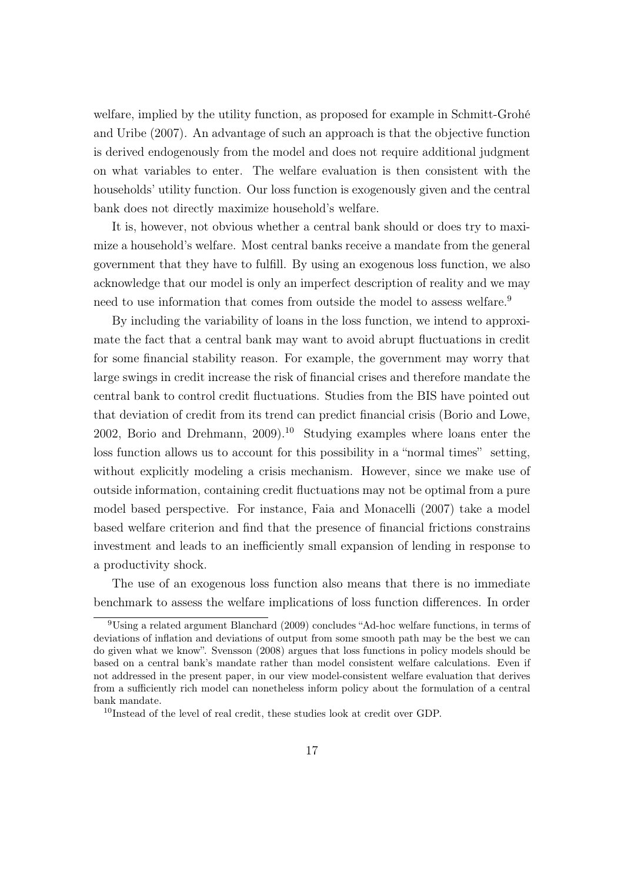welfare, implied by the utility function, as proposed for example in Schmitt-Grohé and Uribe (2007). An advantage of such an approach is that the objective function is derived endogenously from the model and does not require additional judgment on what variables to enter. The welfare evaluation is then consistent with the households' utility function. Our loss function is exogenously given and the central bank does not directly maximize household's welfare.

It is, however, not obvious whether a central bank should or does try to maximize a household's welfare. Most central banks receive a mandate from the general government that they have to fulfill. By using an exogenous loss function, we also acknowledge that our model is only an imperfect description of reality and we may need to use information that comes from outside the model to assess welfare.<sup>9</sup>

By including the variability of loans in the loss function, we intend to approximate the fact that a central bank may want to avoid abrupt fluctuations in credit for some financial stability reason. For example, the government may worry that large swings in credit increase the risk of financial crises and therefore mandate the central bank to control credit fluctuations. Studies from the BIS have pointed out that deviation of credit from its trend can predict financial crisis (Borio and Lowe, 2002, Borio and Drehmann, 2009).<sup>10</sup> Studying examples where loans enter the loss function allows us to account for this possibility in a "normal times" setting, without explicitly modeling a crisis mechanism. However, since we make use of outside information, containing credit fluctuations may not be optimal from a pure model based perspective. For instance, Faia and Monacelli (2007) take a model based welfare criterion and find that the presence of financial frictions constrains investment and leads to an inefficiently small expansion of lending in response to a productivity shock.

The use of an exogenous loss function also means that there is no immediate benchmark to assess the welfare implications of loss function differences. In order

<sup>9</sup>Using a related argument Blanchard (2009) concludes "Ad-hoc welfare functions, in terms of deviations of inflation and deviations of output from some smooth path may be the best we can do given what we know". Svensson (2008) argues that loss functions in policy models should be based on a central bank's mandate rather than model consistent welfare calculations. Even if not addressed in the present paper, in our view model-consistent welfare evaluation that derives from a sufficiently rich model can nonetheless inform policy about the formulation of a central bank mandate.

<sup>10</sup>Instead of the level of real credit, these studies look at credit over GDP.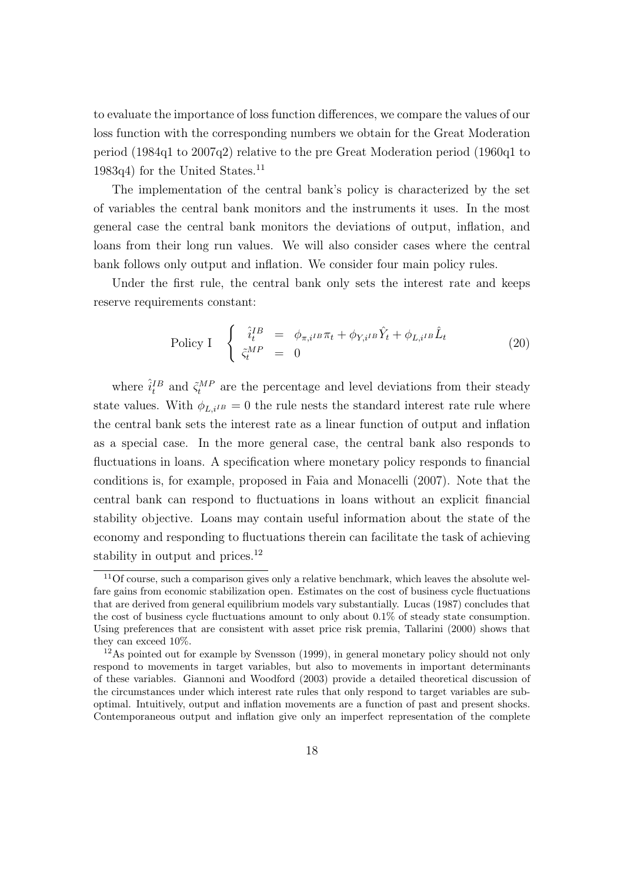to evaluate the importance of loss function differences, we compare the values of our loss function with the corresponding numbers we obtain for the Great Moderation period (1984q1 to 2007q2) relative to the pre Great Moderation period (1960q1 to 1983q4) for the United States.<sup>11</sup>

The implementation of the central bank's policy is characterized by the set of variables the central bank monitors and the instruments it uses. In the most general case the central bank monitors the deviations of output, inflation, and loans from their long run values. We will also consider cases where the central bank follows only output and inflation. We consider four main policy rules.

Under the first rule, the central bank only sets the interest rate and keeps reserve requirements constant:

$$
\text{Policy I} \quad \begin{cases} \hat{i}_t^{IB} &= \phi_{\pi,i^{IB}}\pi_t + \phi_{Y,i^{IB}}\hat{Y}_t + \phi_{L,i^{IB}}\hat{L}_t \\ \tilde{\varsigma}_t^{MP} &= 0 \end{cases} \tag{20}
$$

where  $\hat{i}_t^{IB}$  and  $\tilde{\zeta}_t^{MP}$  are the percentage and level deviations from their steady state values. With  $\phi_{L,i^{IB}} = 0$  the rule nests the standard interest rate rule where the central bank sets the interest rate as a linear function of output and inflation as a special case. In the more general case, the central bank also responds to fluctuations in loans. A specification where monetary policy responds to financial conditions is, for example, proposed in Faia and Monacelli (2007). Note that the central bank can respond to fluctuations in loans without an explicit financial stability objective. Loans may contain useful information about the state of the economy and responding to fluctuations therein can facilitate the task of achieving stability in output and prices.<sup>12</sup>

 $11$ Of course, such a comparison gives only a relative benchmark, which leaves the absolute welfare gains from economic stabilization open. Estimates on the cost of business cycle fluctuations that are derived from general equilibrium models vary substantially. Lucas (1987) concludes that the cost of business cycle fluctuations amount to only about 0.1% of steady state consumption. Using preferences that are consistent with asset price risk premia, Tallarini (2000) shows that they can exceed 10%.

<sup>12</sup>As pointed out for example by Svensson (1999), in general monetary policy should not only respond to movements in target variables, but also to movements in important determinants of these variables. Giannoni and Woodford (2003) provide a detailed theoretical discussion of the circumstances under which interest rate rules that only respond to target variables are suboptimal. Intuitively, output and inflation movements are a function of past and present shocks. Contemporaneous output and inflation give only an imperfect representation of the complete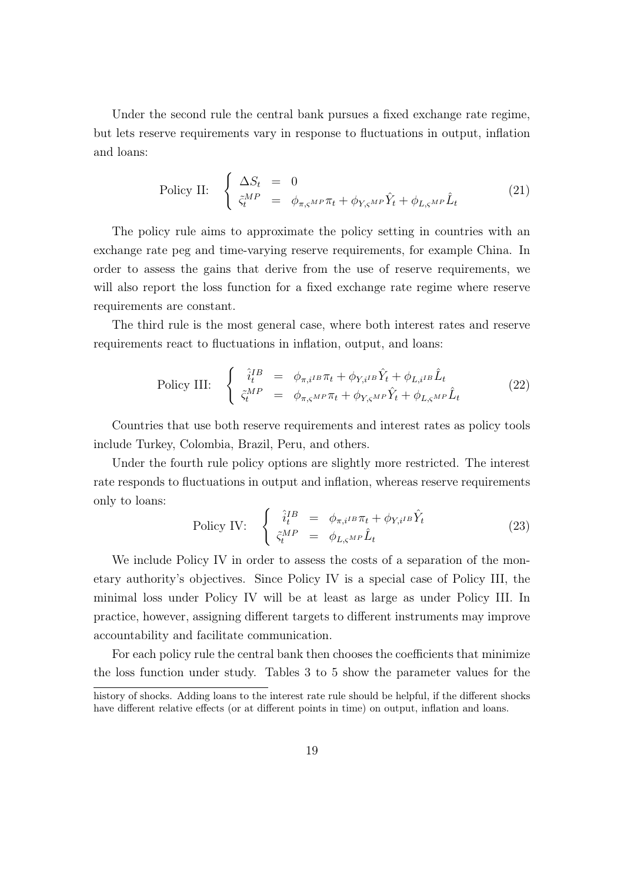Under the second rule the central bank pursues a fixed exchange rate regime, but lets reserve requirements vary in response to fluctuations in output, inflation and loans:

$$
\text{Policy II:} \quad \begin{cases} \Delta S_t = 0\\ \tilde{\varsigma}_t^{MP} = \phi_{\pi,\varsigma^{MP}} \pi_t + \phi_{Y,\varsigma^{MP}} \hat{Y}_t + \phi_{L,\varsigma^{MP}} \hat{L}_t \end{cases} \tag{21}
$$

The policy rule aims to approximate the policy setting in countries with an exchange rate peg and time-varying reserve requirements, for example China. In order to assess the gains that derive from the use of reserve requirements, we will also report the loss function for a fixed exchange rate regime where reserve requirements are constant.

The third rule is the most general case, where both interest rates and reserve requirements react to fluctuations in inflation, output, and loans:

$$
\text{Policy III:} \quad\n\begin{cases}\n\hat{i}_t^{IB} = \phi_{\pi,i^{IB}} \pi_t + \phi_{Y,i^{IB}} \hat{Y}_t + \phi_{L,i^{IB}} \hat{L}_t \\
\hat{\zeta}_t^{MP} = \phi_{\pi,\varsigma^{MP}} \pi_t + \phi_{Y,\varsigma^{MP}} \hat{Y}_t + \phi_{L,\varsigma^{MP}} \hat{L}_t\n\end{cases}\n\tag{22}
$$

Countries that use both reserve requirements and interest rates as policy tools include Turkey, Colombia, Brazil, Peru, and others.

Under the fourth rule policy options are slightly more restricted. The interest rate responds to fluctuations in output and inflation, whereas reserve requirements only to loans:

$$
\text{Policy IV:} \quad \begin{cases} \begin{array}{rcl} \hat{i}_t^{IB} & = & \phi_{\pi,i^{IB}} \pi_t + \phi_{Y,i^{IB}} \hat{Y}_t \\ \hat{\varsigma}_t^{MP} & = & \phi_{L,\varsigma^{MP}} \hat{L}_t \end{array} \end{cases} \tag{23}
$$

We include Policy IV in order to assess the costs of a separation of the monetary authority's objectives. Since Policy IV is a special case of Policy III, the minimal loss under Policy IV will be at least as large as under Policy III. In practice, however, assigning different targets to different instruments may improve accountability and facilitate communication.

For each policy rule the central bank then chooses the coefficients that minimize the loss function under study. Tables 3 to 5 show the parameter values for the

history of shocks. Adding loans to the interest rate rule should be helpful, if the different shocks have different relative effects (or at different points in time) on output, inflation and loans.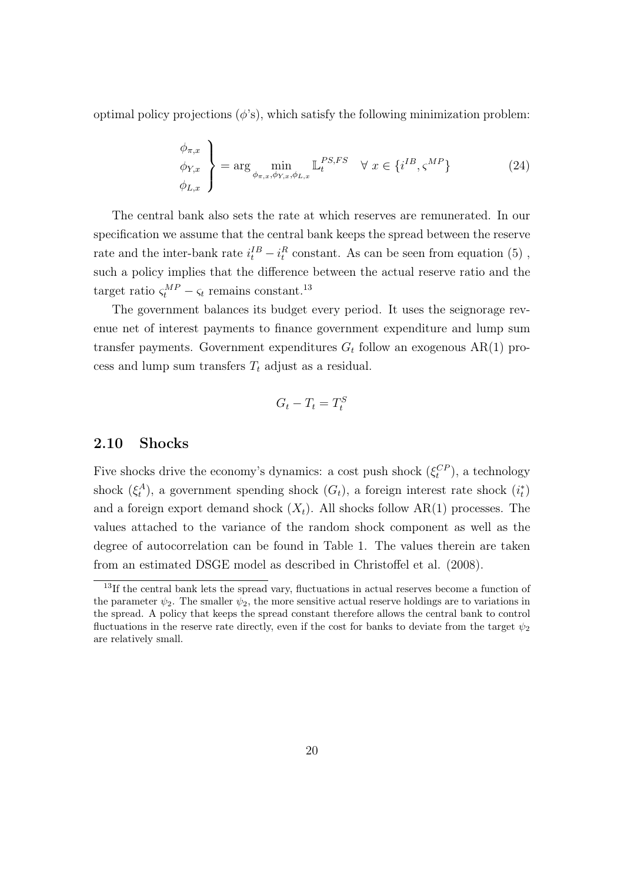optimal policy projections  $(\phi's)$ , which satisfy the following minimization problem:

$$
\begin{aligned}\n\phi_{\pi,x} \\
\phi_{Y,x} \\
\phi_{L,x}\n\end{aligned}\n\bigg\} = \arg\min_{\phi_{\pi,x}, \phi_{Y,x}, \phi_{L,x}} \mathbb{L}_t^{PS,FS} \quad \forall \ x \in \{i^{IB}, \varsigma^{MP}\}\n\tag{24}
$$

The central bank also sets the rate at which reserves are remunerated. In our specification we assume that the central bank keeps the spread between the reserve rate and the inter-bank rate  $i_t^{IB} - i_t^R$  constant. As can be seen from equation (5), such a policy implies that the difference between the actual reserve ratio and the target ratio  $\zeta_t^{MP} - \zeta_t$  remains constant.<sup>13</sup>

The government balances its budget every period. It uses the seignorage revenue net of interest payments to finance government expenditure and lump sum transfer payments. Government expenditures  $G_t$  follow an exogenous AR(1) process and lump sum transfers  $T_t$  adjust as a residual.

$$
G_t - T_t = T_t^S
$$

#### 2.10 Shocks

Five shocks drive the economy's dynamics: a cost push shock  $(\xi_t^{CP})$ , a technology shock  $(\xi_t^A)$ , a government spending shock  $(G_t)$ , a foreign interest rate shock  $(i_t^*)$ and a foreign export demand shock  $(X_t)$ . All shocks follow AR(1) processes. The values attached to the variance of the random shock component as well as the degree of autocorrelation can be found in Table 1. The values therein are taken from an estimated DSGE model as described in Christoffel et al. (2008).

<sup>&</sup>lt;sup>13</sup>If the central bank lets the spread vary, fluctuations in actual reserves become a function of the parameter  $\psi_2$ . The smaller  $\psi_2$ , the more sensitive actual reserve holdings are to variations in the spread. A policy that keeps the spread constant therefore allows the central bank to control fluctuations in the reserve rate directly, even if the cost for banks to deviate from the target  $\psi_2$ are relatively small.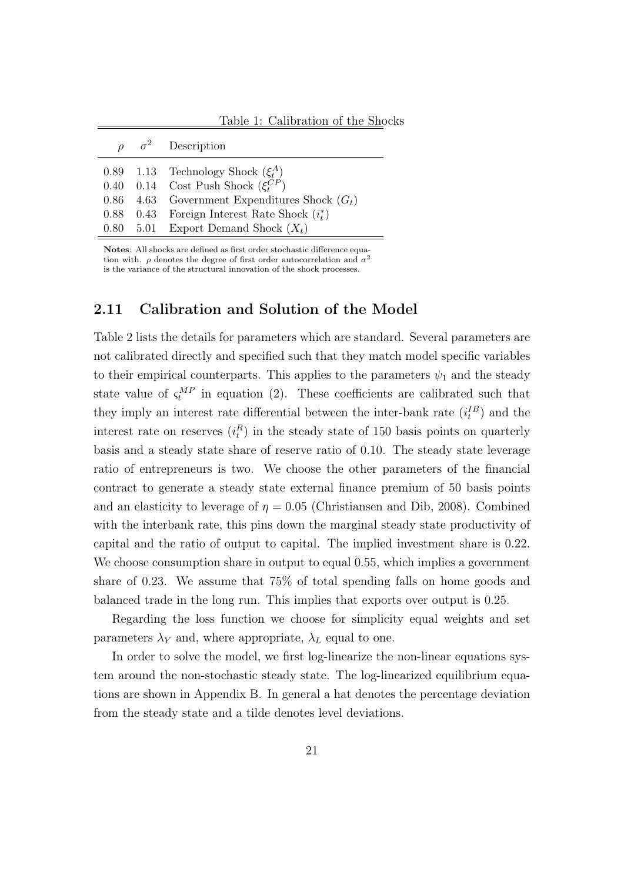| Table 1: Calibration of the Shocks |  |
|------------------------------------|--|
|                                    |  |

|  | $\rho \quad \sigma^2$ Description                                                  |
|--|------------------------------------------------------------------------------------|
|  | 0.89 1.13 Technology Shock $(\xi_t^A)$<br>0.40 0.14 Cost Push Shock $(\xi^{CP}_t)$ |
|  | 0.86 4.63 Government Expenditures Shock $(G_t)$                                    |
|  | 0.88 0.43 Foreign Interest Rate Shock $(i_t^*)$                                    |
|  | 0.80 5.01 Export Demand Shock $(X_t)$                                              |

Notes: All shocks are defined as first order stochastic difference equation with.  $\rho$  denotes the degree of first order autocorrelation and  $\sigma^2$ is the variance of the structural innovation of the shock processes.

#### 2.11 Calibration and Solution of the Model

Table 2 lists the details for parameters which are standard. Several parameters are not calibrated directly and specified such that they match model specific variables to their empirical counterparts. This applies to the parameters  $\psi_1$  and the steady state value of  $\zeta_t^{MP}$  in equation (2). These coefficients are calibrated such that they imply an interest rate differential between the inter-bank rate  $(i_t^{IB})$  and the interest rate on reserves  $(i_t^R)$  in the steady state of 150 basis points on quarterly basis and a steady state share of reserve ratio of 0.10. The steady state leverage ratio of entrepreneurs is two. We choose the other parameters of the financial contract to generate a steady state external finance premium of 50 basis points and an elasticity to leverage of  $\eta = 0.05$  (Christiansen and Dib, 2008). Combined with the interbank rate, this pins down the marginal steady state productivity of capital and the ratio of output to capital. The implied investment share is 0.22. We choose consumption share in output to equal 0.55, which implies a government share of 0.23. We assume that 75% of total spending falls on home goods and balanced trade in the long run. This implies that exports over output is 0.25.

Regarding the loss function we choose for simplicity equal weights and set parameters  $\lambda_Y$  and, where appropriate,  $\lambda_L$  equal to one.

In order to solve the model, we first log-linearize the non-linear equations system around the non-stochastic steady state. The log-linearized equilibrium equations are shown in Appendix B. In general a hat denotes the percentage deviation from the steady state and a tilde denotes level deviations.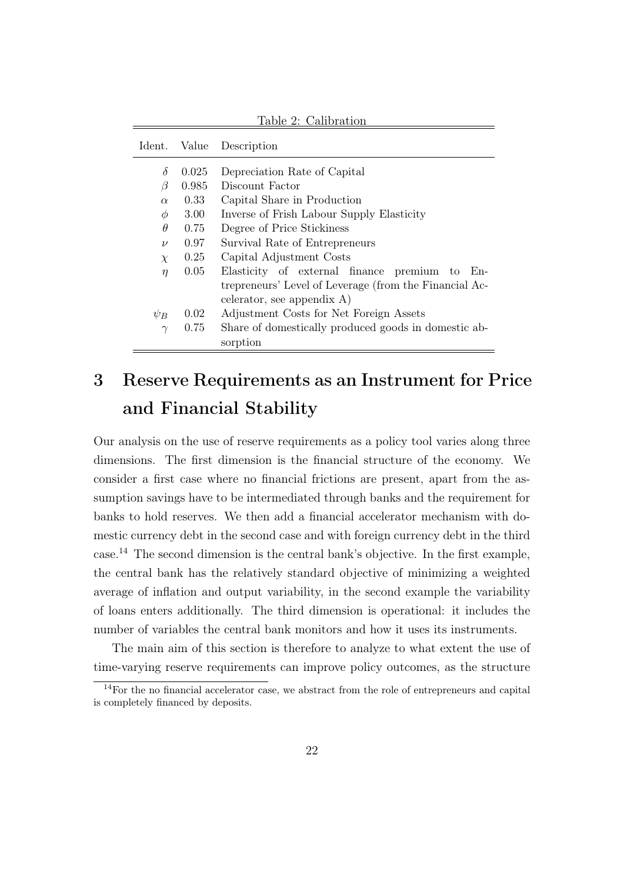|          |       | rable 2: Calibration                                   |
|----------|-------|--------------------------------------------------------|
| Ident.   | Value | Description                                            |
| $\delta$ | 0.025 | Depreciation Rate of Capital                           |
| β        | 0.985 | Discount Factor                                        |
| $\alpha$ | 0.33  | Capital Share in Production                            |
| $\phi$   | 3.00  | Inverse of Frish Labour Supply Elasticity              |
| $\theta$ | 0.75  | Degree of Price Stickiness                             |
| $\nu$    | 0.97  | Survival Rate of Entrepreneurs                         |
| $\chi$   | 0.25  | Capital Adjustment Costs                               |
| $\eta$   | 0.05  | Elasticity of external finance premium<br>to<br>- En-  |
|          |       | trepreneurs' Level of Leverage (from the Financial Ac- |
|          |       | celerator, see appendix $A$ )                          |
| $\psi_B$ | 0.02  | Adjustment Costs for Net Foreign Assets                |
| $\gamma$ | 0.75  | Share of domestically produced goods in domestic ab-   |
|          |       | sorption                                               |

#### Table 2: Calibration

3 Reserve Requirements as an Instrument for Price and Financial Stability

Our analysis on the use of reserve requirements as a policy tool varies along three dimensions. The first dimension is the financial structure of the economy. We consider a first case where no financial frictions are present, apart from the assumption savings have to be intermediated through banks and the requirement for banks to hold reserves. We then add a financial accelerator mechanism with domestic currency debt in the second case and with foreign currency debt in the third case.<sup>14</sup> The second dimension is the central bank's objective. In the first example, the central bank has the relatively standard objective of minimizing a weighted average of inflation and output variability, in the second example the variability of loans enters additionally. The third dimension is operational: it includes the number of variables the central bank monitors and how it uses its instruments.

The main aim of this section is therefore to analyze to what extent the use of time-varying reserve requirements can improve policy outcomes, as the structure

 $14$ For the no financial accelerator case, we abstract from the role of entrepreneurs and capital is completely financed by deposits.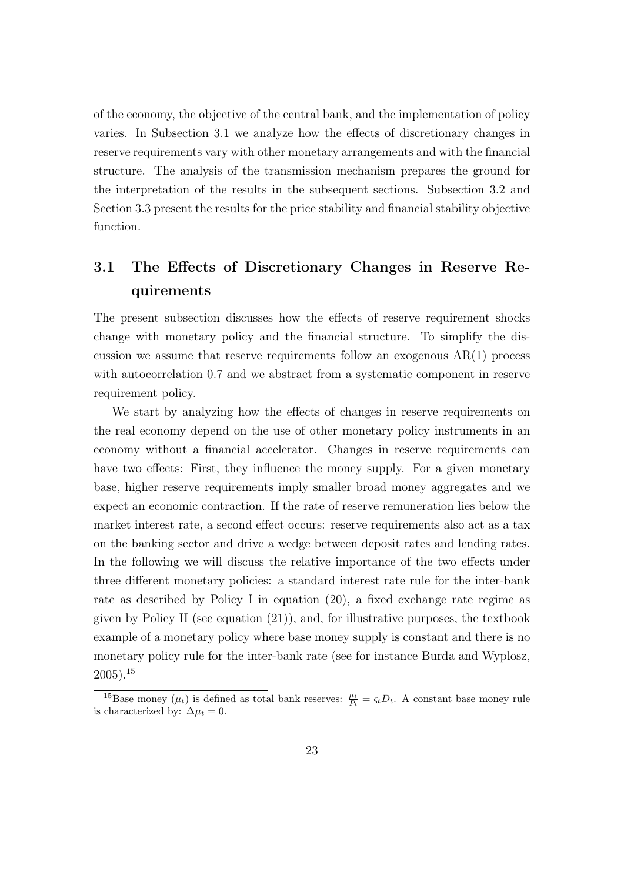of the economy, the objective of the central bank, and the implementation of policy varies. In Subsection 3.1 we analyze how the effects of discretionary changes in reserve requirements vary with other monetary arrangements and with the financial structure. The analysis of the transmission mechanism prepares the ground for the interpretation of the results in the subsequent sections. Subsection 3.2 and Section 3.3 present the results for the price stability and financial stability objective function.

## 3.1 The Effects of Discretionary Changes in Reserve Requirements

The present subsection discusses how the effects of reserve requirement shocks change with monetary policy and the financial structure. To simplify the discussion we assume that reserve requirements follow an exogenous  $AR(1)$  process with autocorrelation 0.7 and we abstract from a systematic component in reserve requirement policy.

We start by analyzing how the effects of changes in reserve requirements on the real economy depend on the use of other monetary policy instruments in an economy without a financial accelerator. Changes in reserve requirements can have two effects: First, they influence the money supply. For a given monetary base, higher reserve requirements imply smaller broad money aggregates and we expect an economic contraction. If the rate of reserve remuneration lies below the market interest rate, a second effect occurs: reserve requirements also act as a tax on the banking sector and drive a wedge between deposit rates and lending rates. In the following we will discuss the relative importance of the two effects under three different monetary policies: a standard interest rate rule for the inter-bank rate as described by Policy I in equation (20), a fixed exchange rate regime as given by Policy II (see equation  $(21)$ ), and, for illustrative purposes, the textbook example of a monetary policy where base money supply is constant and there is no monetary policy rule for the inter-bank rate (see for instance Burda and Wyplosz,  $2005$ ).<sup>15</sup>

<sup>&</sup>lt;sup>15</sup>Base money  $(\mu_t)$  is defined as total bank reserves:  $\frac{\mu_t}{P_t} = \varsigma_t D_t$ . A constant base money rule is characterized by:  $\Delta \mu_t = 0$ .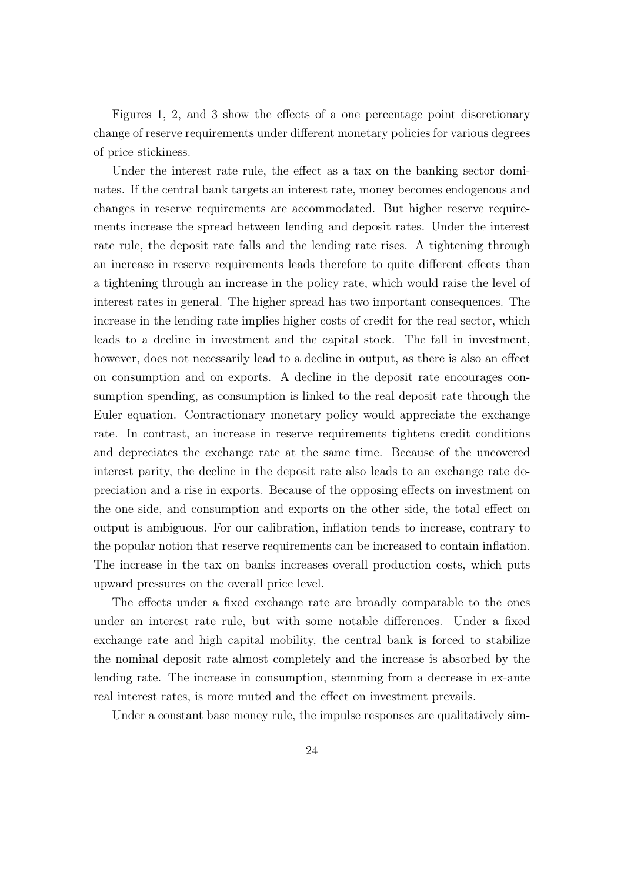Figures 1, 2, and 3 show the effects of a one percentage point discretionary change of reserve requirements under different monetary policies for various degrees of price stickiness.

Under the interest rate rule, the effect as a tax on the banking sector dominates. If the central bank targets an interest rate, money becomes endogenous and changes in reserve requirements are accommodated. But higher reserve requirements increase the spread between lending and deposit rates. Under the interest rate rule, the deposit rate falls and the lending rate rises. A tightening through an increase in reserve requirements leads therefore to quite different effects than a tightening through an increase in the policy rate, which would raise the level of interest rates in general. The higher spread has two important consequences. The increase in the lending rate implies higher costs of credit for the real sector, which leads to a decline in investment and the capital stock. The fall in investment, however, does not necessarily lead to a decline in output, as there is also an effect on consumption and on exports. A decline in the deposit rate encourages consumption spending, as consumption is linked to the real deposit rate through the Euler equation. Contractionary monetary policy would appreciate the exchange rate. In contrast, an increase in reserve requirements tightens credit conditions and depreciates the exchange rate at the same time. Because of the uncovered interest parity, the decline in the deposit rate also leads to an exchange rate depreciation and a rise in exports. Because of the opposing effects on investment on the one side, and consumption and exports on the other side, the total effect on output is ambiguous. For our calibration, inflation tends to increase, contrary to the popular notion that reserve requirements can be increased to contain inflation. The increase in the tax on banks increases overall production costs, which puts upward pressures on the overall price level.

The effects under a fixed exchange rate are broadly comparable to the ones under an interest rate rule, but with some notable differences. Under a fixed exchange rate and high capital mobility, the central bank is forced to stabilize the nominal deposit rate almost completely and the increase is absorbed by the lending rate. The increase in consumption, stemming from a decrease in ex-ante real interest rates, is more muted and the effect on investment prevails.

Under a constant base money rule, the impulse responses are qualitatively sim-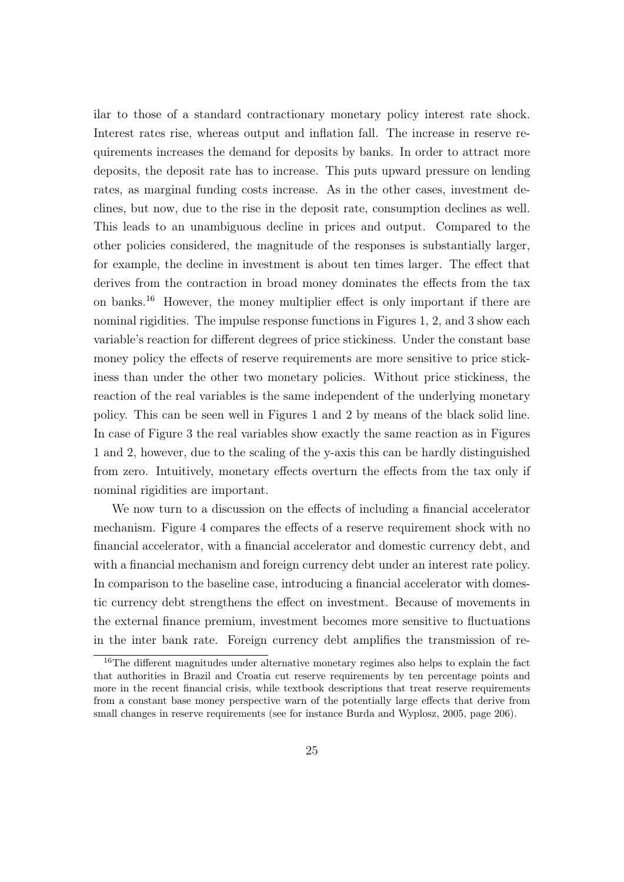ilar to those of a standard contractionary monetary policy interest rate shock. Interest rates rise, whereas output and inflation fall. The increase in reserve requirements increases the demand for deposits by banks. In order to attract more deposits, the deposit rate has to increase. This puts upward pressure on lending rates, as marginal funding costs increase. As in the other cases, investment declines, but now, due to the rise in the deposit rate, consumption declines as well. This leads to an unambiguous decline in prices and output. Compared to the other policies considered, the magnitude of the responses is substantially larger, for example, the decline in investment is about ten times larger. The effect that derives from the contraction in broad money dominates the effects from the tax on banks.<sup>16</sup> However, the money multiplier effect is only important if there are nominal rigidities. The impulse response functions in Figures 1, 2, and 3 show each variable's reaction for different degrees of price stickiness. Under the constant base money policy the effects of reserve requirements are more sensitive to price stickiness than under the other two monetary policies. Without price stickiness, the reaction of the real variables is the same independent of the underlying monetary policy. This can be seen well in Figures 1 and 2 by means of the black solid line. In case of Figure 3 the real variables show exactly the same reaction as in Figures 1 and 2, however, due to the scaling of the y-axis this can be hardly distinguished from zero. Intuitively, monetary effects overturn the effects from the tax only if nominal rigidities are important.

We now turn to a discussion on the effects of including a financial accelerator mechanism. Figure 4 compares the effects of a reserve requirement shock with no financial accelerator, with a financial accelerator and domestic currency debt, and with a financial mechanism and foreign currency debt under an interest rate policy. In comparison to the baseline case, introducing a financial accelerator with domestic currency debt strengthens the effect on investment. Because of movements in the external finance premium, investment becomes more sensitive to fluctuations in the inter bank rate. Foreign currency debt amplifies the transmission of re-

<sup>&</sup>lt;sup>16</sup>The different magnitudes under alternative monetary regimes also helps to explain the fact that authorities in Brazil and Croatia cut reserve requirements by ten percentage points and more in the recent financial crisis, while textbook descriptions that treat reserve requirements from a constant base money perspective warn of the potentially large effects that derive from small changes in reserve requirements (see for instance Burda and Wyplosz, 2005, page 206).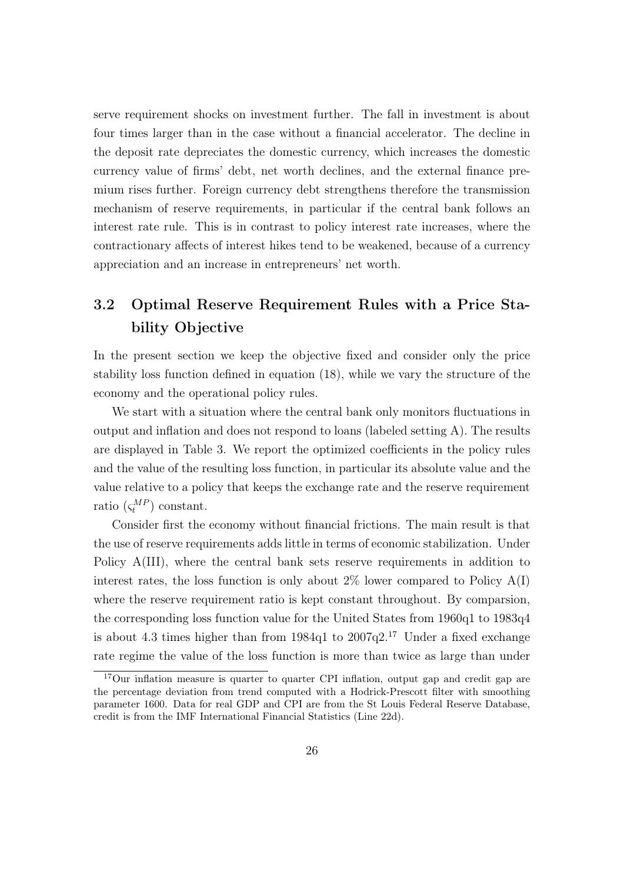serve requirement shocks on investment further. The fall in investment is about four times larger than in the case without a financial accelerator. The decline in the deposit rate depreciates the domestic currency, which increases the domestic currency value of firms' debt, net worth declines, and the external finance premium rises further. Foreign currency debt strengthens therefore the transmission mechanism of reserve requirements, in particular if the central bank follows an interest rate rule. This is in contrast to policy interest rate increases, where the contractionary affects of interest hikes tend to be weakened, because of a currency appreciation and an increase in entrepreneurs' net worth.

## 3.2 Optimal Reserve Requirement Rules with a Price Stability Objective

In the present section we keep the objective fixed and consider only the price stability loss function defined in equation (18), while we vary the structure of the economy and the operational policy rules.

We start with a situation where the central bank only monitors fluctuations in output and inflation and does not respond to loans (labeled setting A). The results are displayed in Table 3. We report the optimized coefficients in the policy rules and the value of the resulting loss function, in particular its absolute value and the value relative to a policy that keeps the exchange rate and the reserve requirement ratio  $(\zeta_t^{MP})$  constant.

Consider first the economy without financial frictions. The main result is that the use of reserve requirements adds little in terms of economic stabilization. Under Policy A(III), where the central bank sets reserve requirements in addition to interest rates, the loss function is only about  $2\%$  lower compared to Policy  $A(I)$ where the reserve requirement ratio is kept constant throughout. By comparsion, the corresponding loss function value for the United States from 1960q1 to 1983q4 is about 4.3 times higher than from  $1984q1$  to  $2007q2.<sup>17</sup>$  Under a fixed exchange rate regime the value of the loss function is more than twice as large than under

<sup>17</sup>Our inflation measure is quarter to quarter CPI inflation, output gap and credit gap are the percentage deviation from trend computed with a Hodrick-Prescott filter with smoothing parameter 1600. Data for real GDP and CPI are from the St Louis Federal Reserve Database, credit is from the IMF International Financial Statistics (Line 22d).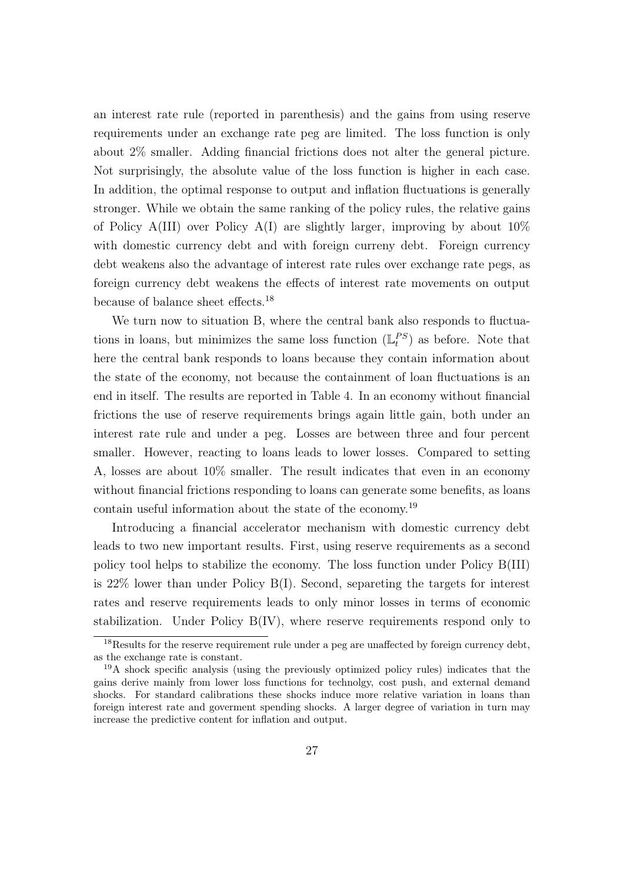an interest rate rule (reported in parenthesis) and the gains from using reserve requirements under an exchange rate peg are limited. The loss function is only about 2% smaller. Adding financial frictions does not alter the general picture. Not surprisingly, the absolute value of the loss function is higher in each case. In addition, the optimal response to output and inflation fluctuations is generally stronger. While we obtain the same ranking of the policy rules, the relative gains of Policy A(III) over Policy A(I) are slightly larger, improving by about  $10\%$ with domestic currency debt and with foreign curreny debt. Foreign currency debt weakens also the advantage of interest rate rules over exchange rate pegs, as foreign currency debt weakens the effects of interest rate movements on output because of balance sheet effects.<sup>18</sup>

We turn now to situation B, where the central bank also responds to fluctuations in loans, but minimizes the same loss function  $(\mathbb{L}^{PS}_t)$  as before. Note that here the central bank responds to loans because they contain information about the state of the economy, not because the containment of loan fluctuations is an end in itself. The results are reported in Table 4. In an economy without financial frictions the use of reserve requirements brings again little gain, both under an interest rate rule and under a peg. Losses are between three and four percent smaller. However, reacting to loans leads to lower losses. Compared to setting A, losses are about 10% smaller. The result indicates that even in an economy without financial frictions responding to loans can generate some benefits, as loans contain useful information about the state of the economy.<sup>19</sup>

Introducing a financial accelerator mechanism with domestic currency debt leads to two new important results. First, using reserve requirements as a second policy tool helps to stabilize the economy. The loss function under Policy B(III) is 22% lower than under Policy B(I). Second, separeting the targets for interest rates and reserve requirements leads to only minor losses in terms of economic stabilization. Under Policy B(IV), where reserve requirements respond only to

<sup>&</sup>lt;sup>18</sup>Results for the reserve requirement rule under a peg are unaffected by foreign currency debt, as the exchange rate is constant.

<sup>19</sup>A shock specific analysis (using the previously optimized policy rules) indicates that the gains derive mainly from lower loss functions for technolgy, cost push, and external demand shocks. For standard calibrations these shocks induce more relative variation in loans than foreign interest rate and goverment spending shocks. A larger degree of variation in turn may increase the predictive content for inflation and output.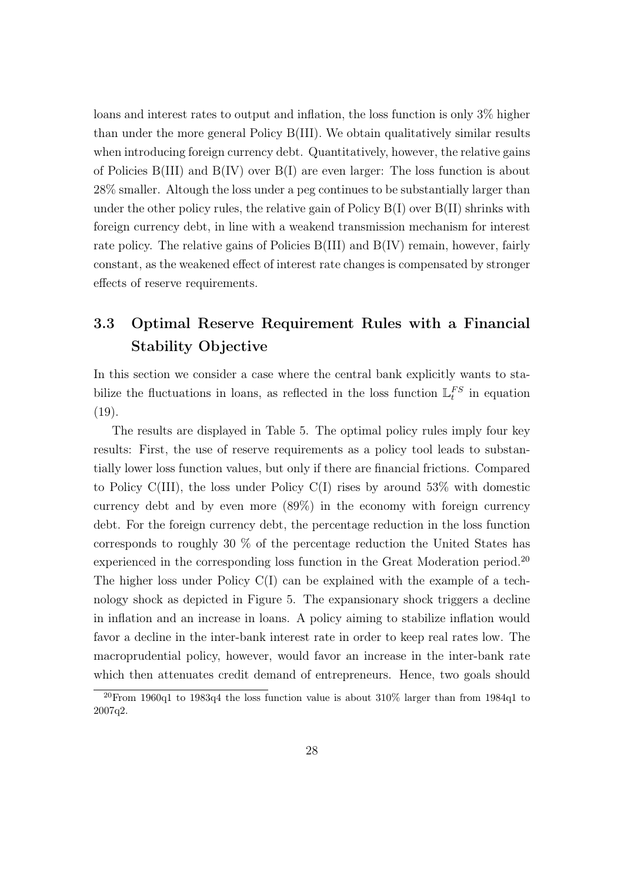loans and interest rates to output and inflation, the loss function is only 3% higher than under the more general Policy B(III). We obtain qualitatively similar results when introducing foreign currency debt. Quantitatively, however, the relative gains of Policies B(III) and B(IV) over B(I) are even larger: The loss function is about 28% smaller. Altough the loss under a peg continues to be substantially larger than under the other policy rules, the relative gain of Policy  $B(I)$  over  $B(II)$  shrinks with foreign currency debt, in line with a weakend transmission mechanism for interest rate policy. The relative gains of Policies  $B(III)$  and  $B(IV)$  remain, however, fairly constant, as the weakened effect of interest rate changes is compensated by stronger effects of reserve requirements.

## 3.3 Optimal Reserve Requirement Rules with a Financial Stability Objective

In this section we consider a case where the central bank explicitly wants to stabilize the fluctuations in loans, as reflected in the loss function  $\mathbb{L}^{FS}_t$  in equation (19).

The results are displayed in Table 5. The optimal policy rules imply four key results: First, the use of reserve requirements as a policy tool leads to substantially lower loss function values, but only if there are financial frictions. Compared to Policy C(III), the loss under Policy C(I) rises by around 53% with domestic currency debt and by even more (89%) in the economy with foreign currency debt. For the foreign currency debt, the percentage reduction in the loss function corresponds to roughly 30 % of the percentage reduction the United States has experienced in the corresponding loss function in the Great Moderation period.<sup>20</sup> The higher loss under Policy C(I) can be explained with the example of a technology shock as depicted in Figure 5. The expansionary shock triggers a decline in inflation and an increase in loans. A policy aiming to stabilize inflation would favor a decline in the inter-bank interest rate in order to keep real rates low. The macroprudential policy, however, would favor an increase in the inter-bank rate which then attenuates credit demand of entrepreneurs. Hence, two goals should

 $20$ From 1960q1 to 1983q4 the loss function value is about 310% larger than from 1984q1 to 2007q2.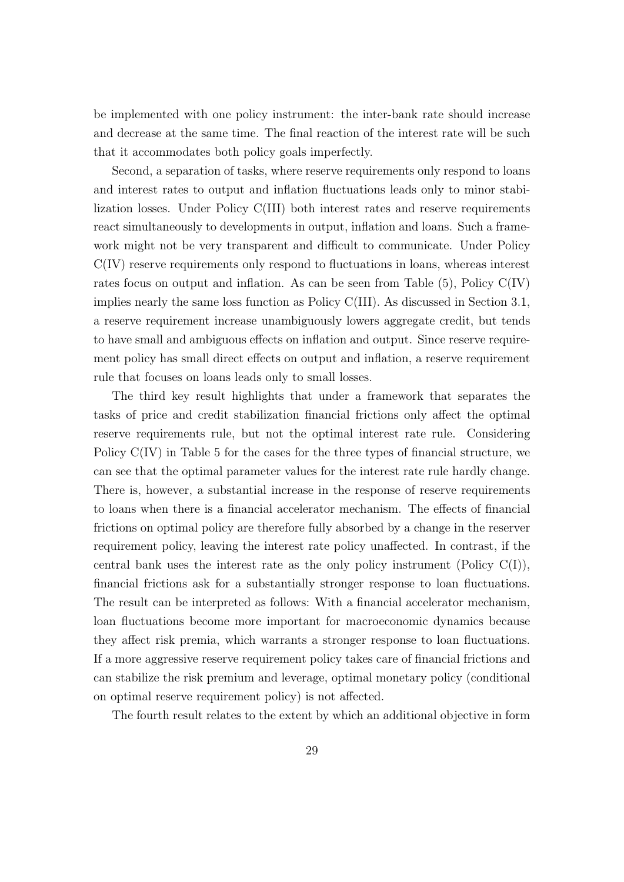be implemented with one policy instrument: the inter-bank rate should increase and decrease at the same time. The final reaction of the interest rate will be such that it accommodates both policy goals imperfectly.

Second, a separation of tasks, where reserve requirements only respond to loans and interest rates to output and inflation fluctuations leads only to minor stabilization losses. Under Policy C(III) both interest rates and reserve requirements react simultaneously to developments in output, inflation and loans. Such a framework might not be very transparent and difficult to communicate. Under Policy C(IV) reserve requirements only respond to fluctuations in loans, whereas interest rates focus on output and inflation. As can be seen from Table  $(5)$ , Policy  $C(IV)$ implies nearly the same loss function as Policy C(III). As discussed in Section 3.1, a reserve requirement increase unambiguously lowers aggregate credit, but tends to have small and ambiguous effects on inflation and output. Since reserve requirement policy has small direct effects on output and inflation, a reserve requirement rule that focuses on loans leads only to small losses.

The third key result highlights that under a framework that separates the tasks of price and credit stabilization financial frictions only affect the optimal reserve requirements rule, but not the optimal interest rate rule. Considering Policy C(IV) in Table 5 for the cases for the three types of financial structure, we can see that the optimal parameter values for the interest rate rule hardly change. There is, however, a substantial increase in the response of reserve requirements to loans when there is a financial accelerator mechanism. The effects of financial frictions on optimal policy are therefore fully absorbed by a change in the reserver requirement policy, leaving the interest rate policy unaffected. In contrast, if the central bank uses the interest rate as the only policy instrument (Policy  $C(I)$ ), financial frictions ask for a substantially stronger response to loan fluctuations. The result can be interpreted as follows: With a financial accelerator mechanism, loan fluctuations become more important for macroeconomic dynamics because they affect risk premia, which warrants a stronger response to loan fluctuations. If a more aggressive reserve requirement policy takes care of financial frictions and can stabilize the risk premium and leverage, optimal monetary policy (conditional on optimal reserve requirement policy) is not affected.

The fourth result relates to the extent by which an additional objective in form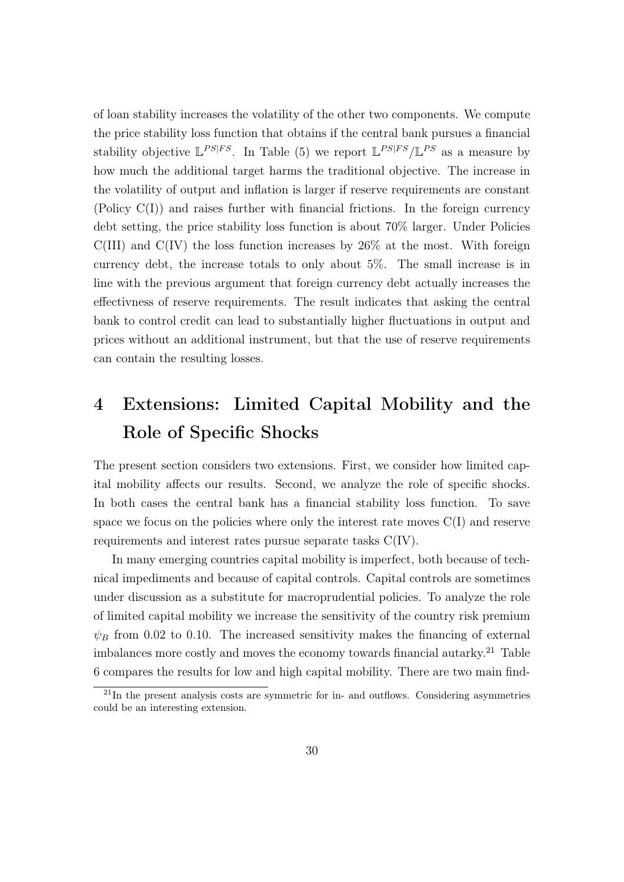of loan stability increases the volatility of the other two components. We compute the price stability loss function that obtains if the central bank pursues a financial stability objective  $\mathbb{L}^{PS|FS}$ . In Table (5) we report  $\mathbb{L}^{PS|FS}/\mathbb{L}^{PS}$  as a measure by how much the additional target harms the traditional objective. The increase in the volatility of output and inflation is larger if reserve requirements are constant (Policy  $C(I)$ ) and raises further with financial frictions. In the foreign currency debt setting, the price stability loss function is about 70% larger. Under Policies  $C(III)$  and  $C(IV)$  the loss function increases by 26% at the most. With foreign currency debt, the increase totals to only about 5%. The small increase is in line with the previous argument that foreign currency debt actually increases the effectivness of reserve requirements. The result indicates that asking the central bank to control credit can lead to substantially higher fluctuations in output and prices without an additional instrument, but that the use of reserve requirements can contain the resulting losses.

## 4 Extensions: Limited Capital Mobility and the Role of Specific Shocks

The present section considers two extensions. First, we consider how limited capital mobility affects our results. Second, we analyze the role of specific shocks. In both cases the central bank has a financial stability loss function. To save space we focus on the policies where only the interest rate moves  $C(I)$  and reserve requirements and interest rates pursue separate tasks C(IV).

In many emerging countries capital mobility is imperfect, both because of technical impediments and because of capital controls. Capital controls are sometimes under discussion as a substitute for macroprudential policies. To analyze the role of limited capital mobility we increase the sensitivity of the country risk premium  $\psi_B$  from 0.02 to 0.10. The increased sensitivity makes the financing of external imbalances more costly and moves the economy towards financial autarky.<sup>21</sup> Table 6 compares the results for low and high capital mobility. There are two main find-

 $^{21}$ In the present analysis costs are symmetric for in- and outflows. Considering asymmetries could be an interesting extension.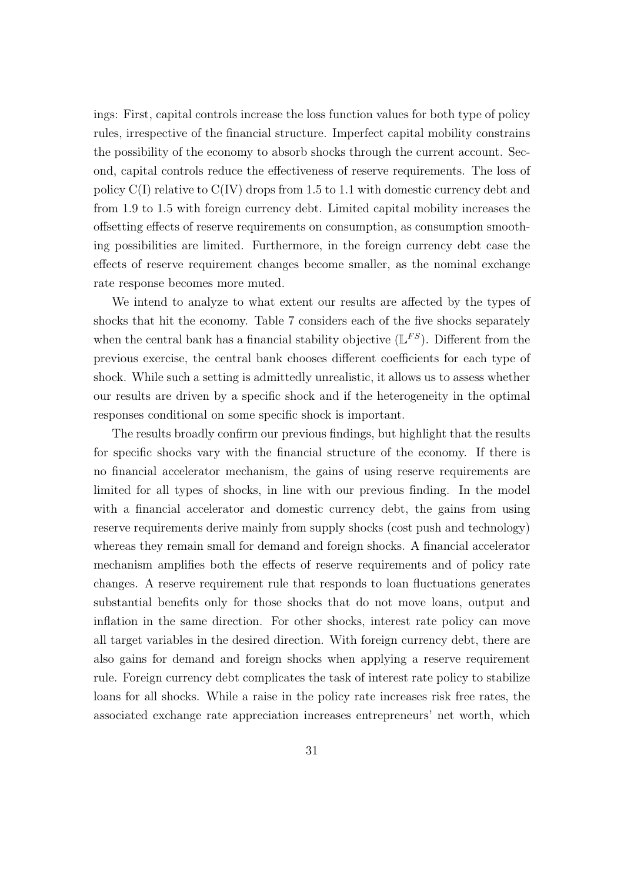ings: First, capital controls increase the loss function values for both type of policy rules, irrespective of the financial structure. Imperfect capital mobility constrains the possibility of the economy to absorb shocks through the current account. Second, capital controls reduce the effectiveness of reserve requirements. The loss of policy  $C(I)$  relative to  $C(IV)$  drops from 1.5 to 1.1 with domestic currency debt and from 1.9 to 1.5 with foreign currency debt. Limited capital mobility increases the offsetting effects of reserve requirements on consumption, as consumption smoothing possibilities are limited. Furthermore, in the foreign currency debt case the effects of reserve requirement changes become smaller, as the nominal exchange rate response becomes more muted.

We intend to analyze to what extent our results are affected by the types of shocks that hit the economy. Table 7 considers each of the five shocks separately when the central bank has a financial stability objective  $(\mathbb{L}^{FS})$ . Different from the previous exercise, the central bank chooses different coefficients for each type of shock. While such a setting is admittedly unrealistic, it allows us to assess whether our results are driven by a specific shock and if the heterogeneity in the optimal responses conditional on some specific shock is important.

The results broadly confirm our previous findings, but highlight that the results for specific shocks vary with the financial structure of the economy. If there is no financial accelerator mechanism, the gains of using reserve requirements are limited for all types of shocks, in line with our previous finding. In the model with a financial accelerator and domestic currency debt, the gains from using reserve requirements derive mainly from supply shocks (cost push and technology) whereas they remain small for demand and foreign shocks. A financial accelerator mechanism amplifies both the effects of reserve requirements and of policy rate changes. A reserve requirement rule that responds to loan fluctuations generates substantial benefits only for those shocks that do not move loans, output and inflation in the same direction. For other shocks, interest rate policy can move all target variables in the desired direction. With foreign currency debt, there are also gains for demand and foreign shocks when applying a reserve requirement rule. Foreign currency debt complicates the task of interest rate policy to stabilize loans for all shocks. While a raise in the policy rate increases risk free rates, the associated exchange rate appreciation increases entrepreneurs' net worth, which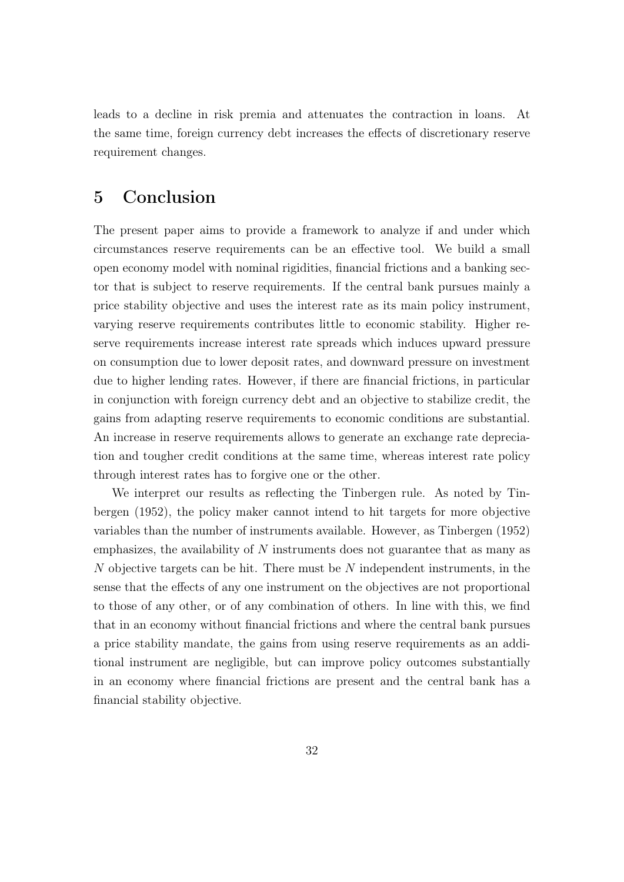leads to a decline in risk premia and attenuates the contraction in loans. At the same time, foreign currency debt increases the effects of discretionary reserve requirement changes.

### 5 Conclusion

The present paper aims to provide a framework to analyze if and under which circumstances reserve requirements can be an effective tool. We build a small open economy model with nominal rigidities, financial frictions and a banking sector that is subject to reserve requirements. If the central bank pursues mainly a price stability objective and uses the interest rate as its main policy instrument, varying reserve requirements contributes little to economic stability. Higher reserve requirements increase interest rate spreads which induces upward pressure on consumption due to lower deposit rates, and downward pressure on investment due to higher lending rates. However, if there are financial frictions, in particular in conjunction with foreign currency debt and an objective to stabilize credit, the gains from adapting reserve requirements to economic conditions are substantial. An increase in reserve requirements allows to generate an exchange rate depreciation and tougher credit conditions at the same time, whereas interest rate policy through interest rates has to forgive one or the other.

We interpret our results as reflecting the Tinbergen rule. As noted by Tinbergen (1952), the policy maker cannot intend to hit targets for more objective variables than the number of instruments available. However, as Tinbergen (1952) emphasizes, the availability of  $N$  instruments does not guarantee that as many as  $N$  objective targets can be hit. There must be  $N$  independent instruments, in the sense that the effects of any one instrument on the objectives are not proportional to those of any other, or of any combination of others. In line with this, we find that in an economy without financial frictions and where the central bank pursues a price stability mandate, the gains from using reserve requirements as an additional instrument are negligible, but can improve policy outcomes substantially in an economy where financial frictions are present and the central bank has a financial stability objective.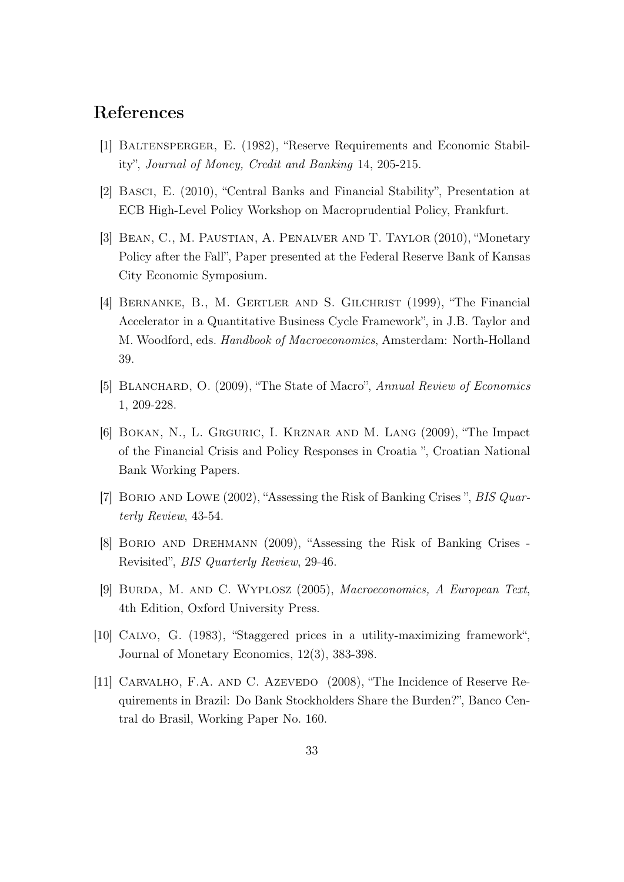## References

- [1] Baltensperger, E. (1982), "Reserve Requirements and Economic Stability", Journal of Money, Credit and Banking 14, 205-215.
- [2] Basci, E. (2010), "Central Banks and Financial Stability", Presentation at ECB High-Level Policy Workshop on Macroprudential Policy, Frankfurt.
- [3] Bean, C., M. Paustian, A. Penalver and T. Taylor (2010), "Monetary Policy after the Fall", Paper presented at the Federal Reserve Bank of Kansas City Economic Symposium.
- [4] BERNANKE, B., M. GERTLER AND S. GILCHRIST (1999), "The Financial Accelerator in a Quantitative Business Cycle Framework", in J.B. Taylor and M. Woodford, eds. Handbook of Macroeconomics, Amsterdam: North-Holland 39.
- [5] BLANCHARD, O. (2009), "The State of Macro", Annual Review of Economics 1, 209-228.
- [6] Bokan, N., L. Grguric, I. Krznar and M. Lang (2009), "The Impact of the Financial Crisis and Policy Responses in Croatia ", Croatian National Bank Working Papers.
- [7] BORIO AND LOWE (2002), "Assessing the Risk of Banking Crises", *BIS Quar*terly Review, 43-54.
- [8] Borio and Drehmann (2009), "Assessing the Risk of Banking Crises Revisited", BIS Quarterly Review, 29-46.
- [9] Burda, M. and C. Wyplosz (2005), Macroeconomics, A European Text, 4th Edition, Oxford University Press.
- [10] Calvo, G. (1983), "Staggered prices in a utility-maximizing framework", Journal of Monetary Economics, 12(3), 383-398.
- [11] CARVALHO, F.A. AND C. AZEVEDO (2008), "The Incidence of Reserve Requirements in Brazil: Do Bank Stockholders Share the Burden?", Banco Central do Brasil, Working Paper No. 160.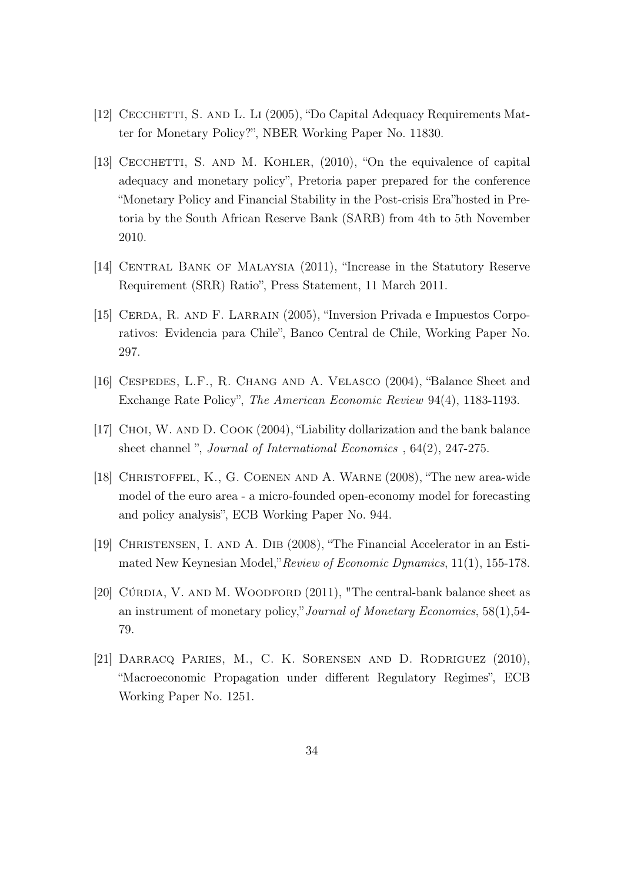- [12] CECCHETTI, S. AND L. LI (2005), "Do Capital Adequacy Requirements Matter for Monetary Policy?", NBER Working Paper No. 11830.
- [13] CECCHETTI, S. AND M. KOHLER, (2010), "On the equivalence of capital adequacy and monetary policy", Pretoria paper prepared for the conference "Monetary Policy and Financial Stability in the Post-crisis Era"hosted in Pretoria by the South African Reserve Bank (SARB) from 4th to 5th November 2010.
- [14] CENTRAL BANK OF MALAYSIA (2011), "Increase in the Statutory Reserve Requirement (SRR) Ratio", Press Statement, 11 March 2011.
- [15] CERDA, R. AND F. LARRAIN (2005), "Inversion Privada e Impuestos Corporativos: Evidencia para Chile", Banco Central de Chile, Working Paper No. 297.
- [16] Cespedes, L.F., R. Chang and A. Velasco (2004), "Balance Sheet and Exchange Rate Policy", The American Economic Review 94(4), 1183-1193.
- [17] CHOI, W. AND D. COOK (2004), "Liability dollarization and the bank balance sheet channel ", Journal of International Economics , 64(2), 247-275.
- [18] Christoffel, K., G. Coenen and A. Warne (2008), "The new area-wide model of the euro area - a micro-founded open-economy model for forecasting and policy analysis", ECB Working Paper No. 944.
- [19] Christensen, I. and A. Dib (2008), "The Financial Accelerator in an Estimated New Keynesian Model,"Review of Economic Dynamics, 11(1), 155-178.
- [20] CÚRDIA, V. AND M. WOODFORD (2011), "The central-bank balance sheet as an instrument of monetary policy,"Journal of Monetary Economics, 58(1),54- 79.
- [21] Darracq Paries, M., C. K. Sorensen and D. Rodriguez (2010), "Macroeconomic Propagation under different Regulatory Regimes", ECB Working Paper No. 1251.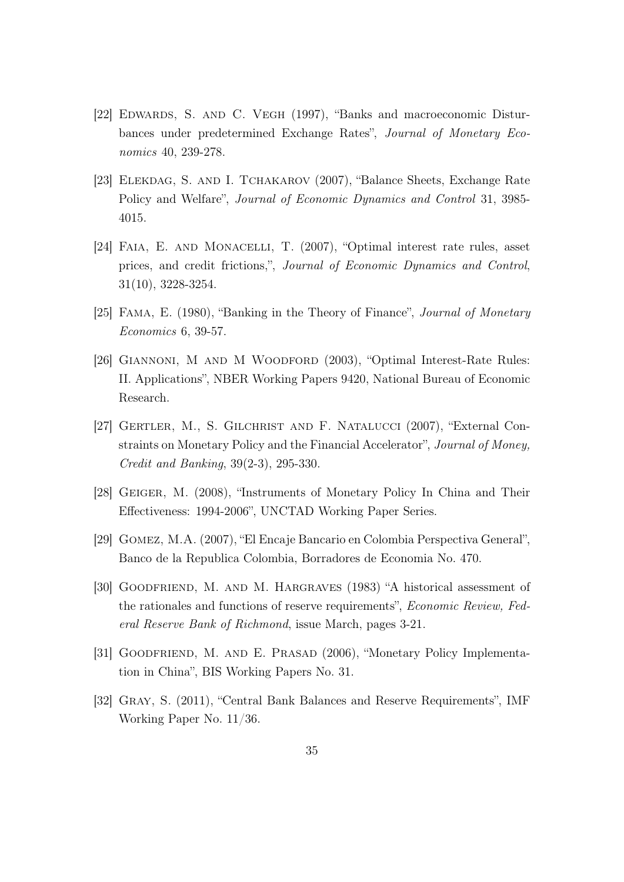- [22] Edwards, S. and C. Vegh (1997), "Banks and macroeconomic Disturbances under predetermined Exchange Rates", Journal of Monetary Economics 40, 239-278.
- [23] ELEKDAG, S. AND I. TCHAKAROV (2007), "Balance Sheets, Exchange Rate Policy and Welfare", Journal of Economic Dynamics and Control 31, 3985- 4015.
- [24] FAIA, E. AND MONACELLI, T. (2007), "Optimal interest rate rules, asset prices, and credit frictions,", Journal of Economic Dynamics and Control, 31(10), 3228-3254.
- [25] Fama, E. (1980), "Banking in the Theory of Finance", Journal of Monetary Economics 6, 39-57.
- [26] GIANNONI, M AND M WOODFORD (2003), "Optimal Interest-Rate Rules: II. Applications", NBER Working Papers 9420, National Bureau of Economic Research.
- [27] Gertler, M., S. Gilchrist and F. Natalucci (2007), "External Constraints on Monetary Policy and the Financial Accelerator", Journal of Money, Credit and Banking, 39(2-3), 295-330.
- [28] GEIGER, M. (2008), "Instruments of Monetary Policy In China and Their Effectiveness: 1994-2006", UNCTAD Working Paper Series.
- [29] Gomez, M.A. (2007), "El Encaje Bancario en Colombia Perspectiva General", Banco de la Republica Colombia, Borradores de Economia No. 470.
- [30] Goodfriend, M. and M. Hargraves (1983) "A historical assessment of the rationales and functions of reserve requirements", Economic Review, Federal Reserve Bank of Richmond, issue March, pages 3-21.
- [31] GOODFRIEND, M. AND E. PRASAD (2006), "Monetary Policy Implementation in China", BIS Working Papers No. 31.
- [32] Gray, S. (2011), "Central Bank Balances and Reserve Requirements", IMF Working Paper No. 11/36.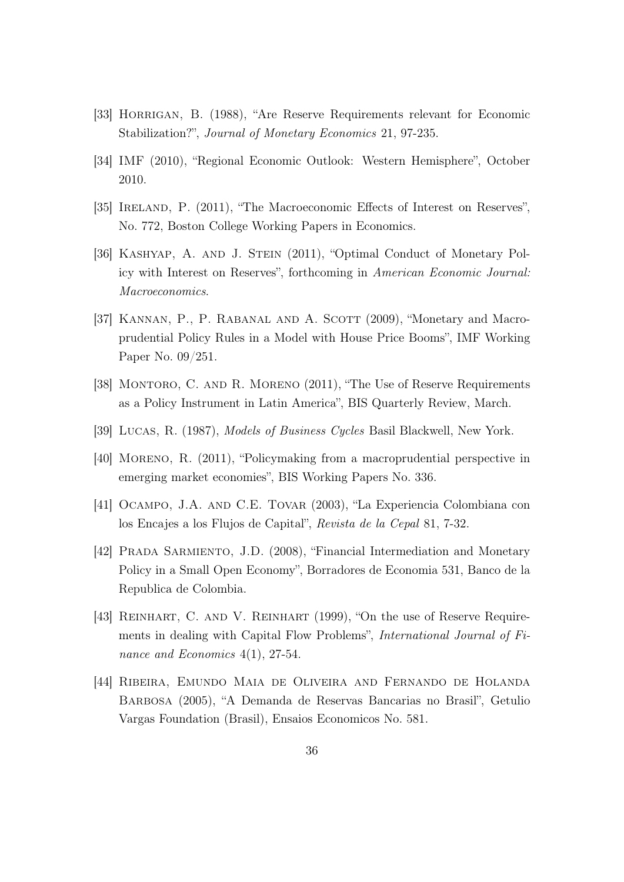- [33] Horrigan, B. (1988), "Are Reserve Requirements relevant for Economic Stabilization?", Journal of Monetary Economics 21, 97-235.
- [34] IMF (2010), "Regional Economic Outlook: Western Hemisphere", October 2010.
- [35] Ireland, P. (2011), "The Macroeconomic Effects of Interest on Reserves", No. 772, Boston College Working Papers in Economics.
- [36] Kashyap, A. and J. Stein (2011), "Optimal Conduct of Monetary Policy with Interest on Reserves", forthcoming in American Economic Journal: Macroeconomics.
- [37] KANNAN, P., P. RABANAL AND A. SCOTT (2009), "Monetary and Macroprudential Policy Rules in a Model with House Price Booms", IMF Working Paper No. 09/251.
- [38] MONTORO, C. AND R. MORENO (2011), "The Use of Reserve Requirements as a Policy Instrument in Latin America", BIS Quarterly Review, March.
- [39] LUCAS, R. (1987), *Models of Business Cycles* Basil Blackwell, New York.
- [40] Moreno, R. (2011), "Policymaking from a macroprudential perspective in emerging market economies", BIS Working Papers No. 336.
- [41] Ocampo, J.A. and C.E. Tovar (2003), "La Experiencia Colombiana con los Encajes a los Flujos de Capital", Revista de la Cepal 81, 7-32.
- [42] PRADA SARMIENTO, J.D. (2008), "Financial Intermediation and Monetary Policy in a Small Open Economy", Borradores de Economia 531, Banco de la Republica de Colombia.
- [43] Reinhart, C. and V. Reinhart (1999), "On the use of Reserve Requirements in dealing with Capital Flow Problems", International Journal of Finance and Economics 4(1), 27-54.
- [44] Ribeira, Emundo Maia de Oliveira and Fernando de Holanda Barbosa (2005), "A Demanda de Reservas Bancarias no Brasil", Getulio Vargas Foundation (Brasil), Ensaios Economicos No. 581.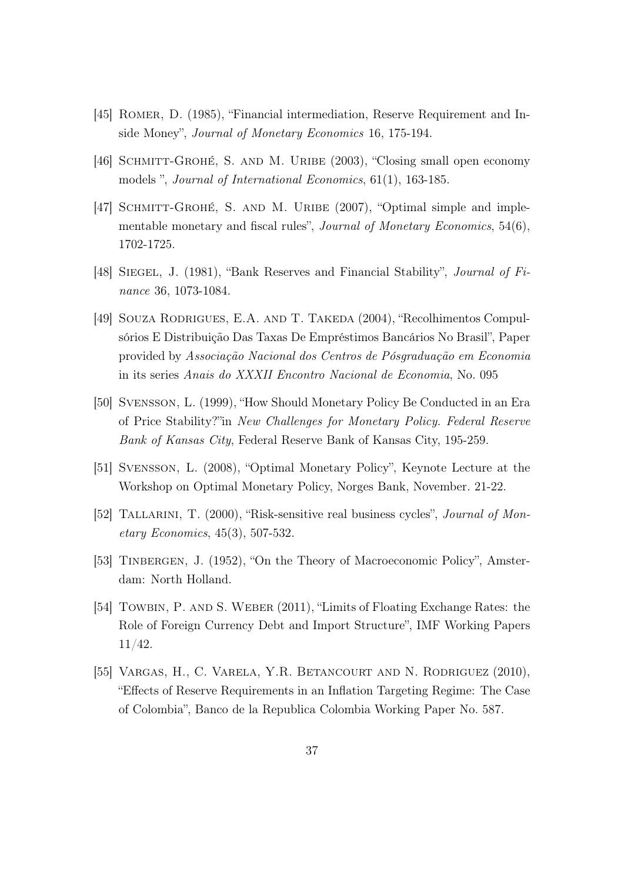- [45] Romer, D. (1985), "Financial intermediation, Reserve Requirement and Inside Money", Journal of Monetary Economics 16, 175-194.
- [46] Schmitt-Grohé, S. and M. Uribe (2003), "Closing small open economy models ", Journal of International Economics, 61(1), 163-185.
- [47] SCHMITT-GROHÉ, S. AND M. URIBE (2007), "Optimal simple and implementable monetary and fiscal rules", *Journal of Monetary Economics*, 54(6), 1702-1725.
- [48] Siegel, J. (1981), "Bank Reserves and Financial Stability", Journal of Finance 36, 1073-1084.
- [49] Souza Rodrigues, E.A. and T. Takeda (2004), "Recolhimentos Compulsórios E Distribuição Das Taxas De Empréstimos Bancários No Brasil", Paper provided by Associação Nacional dos Centros de Pósgraduação em Economia in its series Anais do XXXII Encontro Nacional de Economia, No. 095
- [50] Svensson, L. (1999), "How Should Monetary Policy Be Conducted in an Era of Price Stability?"in New Challenges for Monetary Policy. Federal Reserve Bank of Kansas City, Federal Reserve Bank of Kansas City, 195-259.
- [51] Svensson, L. (2008), "Optimal Monetary Policy", Keynote Lecture at the Workshop on Optimal Monetary Policy, Norges Bank, November. 21-22.
- [52] TALLARINI, T. (2000), "Risk-sensitive real business cycles", *Journal of Mon*etary Economics, 45(3), 507-532.
- [53] TINBERGEN, J. (1952), "On the Theory of Macroeconomic Policy", Amsterdam: North Holland.
- [54] Towbin, P. and S. Weber (2011), "Limits of Floating Exchange Rates: the Role of Foreign Currency Debt and Import Structure", IMF Working Papers 11/42.
- [55] Vargas, H., C. Varela, Y.R. Betancourt and N. Rodriguez (2010), "Effects of Reserve Requirements in an Inflation Targeting Regime: The Case of Colombia", Banco de la Republica Colombia Working Paper No. 587.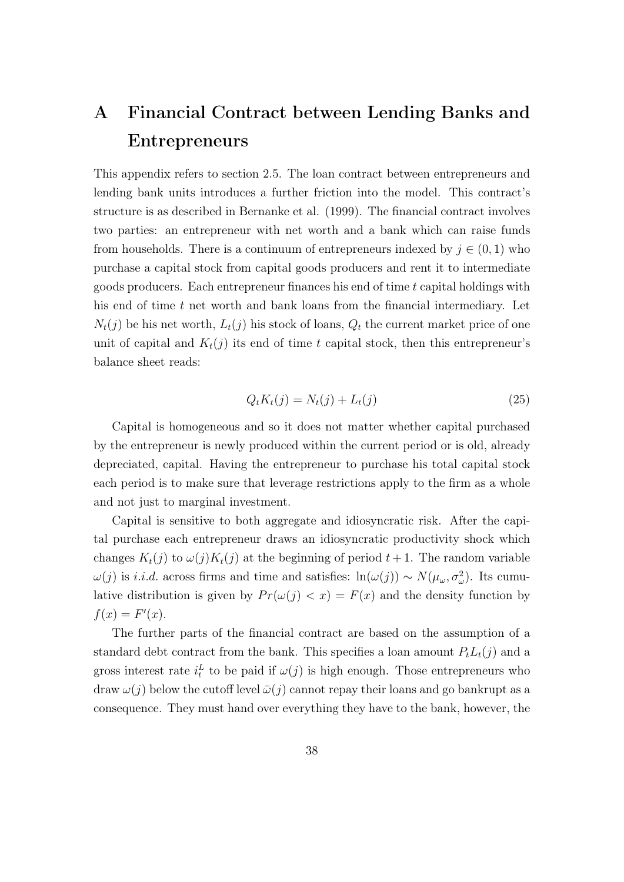## A Financial Contract between Lending Banks and Entrepreneurs

This appendix refers to section 2.5. The loan contract between entrepreneurs and lending bank units introduces a further friction into the model. This contract's structure is as described in Bernanke et al. (1999). The financial contract involves two parties: an entrepreneur with net worth and a bank which can raise funds from households. There is a continuum of entrepreneurs indexed by  $j \in (0,1)$  who purchase a capital stock from capital goods producers and rent it to intermediate goods producers. Each entrepreneur finances his end of time  $t$  capital holdings with his end of time  $t$  net worth and bank loans from the financial intermediary. Let  $N_t(j)$  be his net worth,  $L_t(j)$  his stock of loans,  $Q_t$  the current market price of one unit of capital and  $K_t(j)$  its end of time t capital stock, then this entrepreneur's balance sheet reads:

$$
Q_t K_t(j) = N_t(j) + L_t(j)
$$
\n(25)

Capital is homogeneous and so it does not matter whether capital purchased by the entrepreneur is newly produced within the current period or is old, already depreciated, capital. Having the entrepreneur to purchase his total capital stock each period is to make sure that leverage restrictions apply to the firm as a whole and not just to marginal investment.

Capital is sensitive to both aggregate and idiosyncratic risk. After the capital purchase each entrepreneur draws an idiosyncratic productivity shock which changes  $K_t(j)$  to  $\omega(j)K_t(j)$  at the beginning of period  $t+1$ . The random variable  $\omega(j)$  is *i.i.d.* across firms and time and satisfies:  $\ln(\omega(j)) \sim N(\mu_{\omega}, \sigma_{\omega}^2)$ . Its cumulative distribution is given by  $Pr(\omega(j) < x) = F(x)$  and the density function by  $f(x) = F'(x)$ .

The further parts of the financial contract are based on the assumption of a standard debt contract from the bank. This specifies a loan amount  $P_tL_t(j)$  and a gross interest rate  $i_t^L$  to be paid if  $\omega(j)$  is high enough. Those entrepreneurs who draw  $\omega(j)$  below the cutoff level  $\bar{\omega}(j)$  cannot repay their loans and go bankrupt as a consequence. They must hand over everything they have to the bank, however, the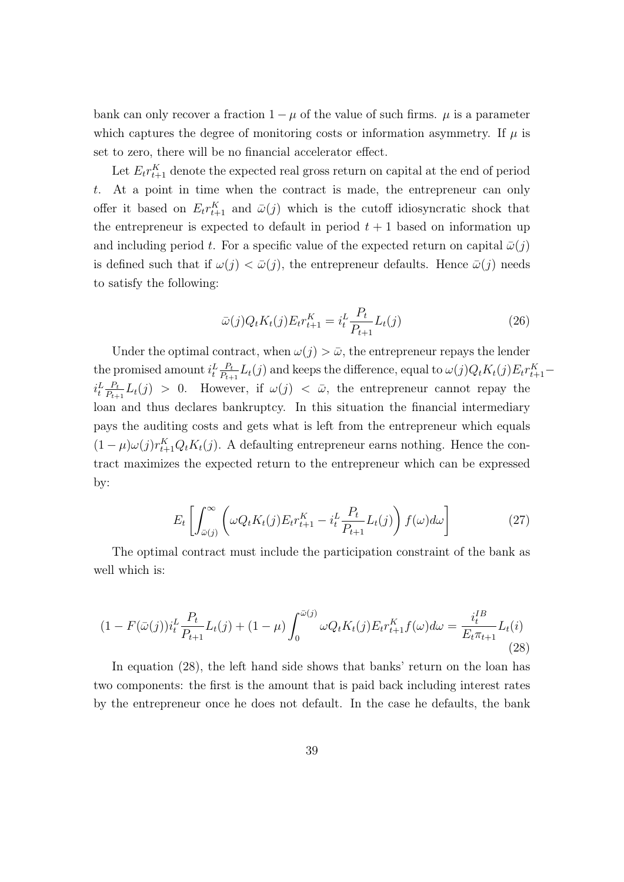bank can only recover a fraction  $1 - \mu$  of the value of such firms.  $\mu$  is a parameter which captures the degree of monitoring costs or information asymmetry. If  $\mu$  is set to zero, there will be no financial accelerator effect.

Let  $E_t r_{t+1}^K$  denote the expected real gross return on capital at the end of period t. At a point in time when the contract is made, the entrepreneur can only offer it based on  $E_t r_{t+1}^K$  and  $\bar{\omega}(j)$  which is the cutoff idiosyncratic shock that the entrepreneur is expected to default in period  $t + 1$  based on information up and including period t. For a specific value of the expected return on capital  $\bar{\omega}(i)$ is defined such that if  $\omega(j) < \bar{\omega}(j)$ , the entrepreneur defaults. Hence  $\bar{\omega}(j)$  needs to satisfy the following:

$$
\bar{\omega}(j)Q_t K_t(j) E_t r_{t+1}^K = i_t^L \frac{P_t}{P_{t+1}} L_t(j)
$$
\n(26)

Under the optimal contract, when  $\omega(j) > \bar{\omega}$ , the entrepreneur repays the lender the promised amount  $i_t^L \frac{P_t}{P_{t+1}}$  $\frac{P_t}{P_{t+1}}L_t(j)$  and keeps the difference, equal to  $\omega(j)Q_tK_t(j)E_tr_{t+1}^K$  $i_t^L\frac{P_t}{P_{t+}}$  $\frac{P_t}{P_{t+1}}L_t(j) > 0$ . However, if  $\omega(j) < \bar{\omega}$ , the entrepreneur cannot repay the loan and thus declares bankruptcy. In this situation the financial intermediary pays the auditing costs and gets what is left from the entrepreneur which equals  $(1 - \mu)\omega(j)r_{t+1}^K Q_t K_t(j)$ . A defaulting entrepreneur earns nothing. Hence the contract maximizes the expected return to the entrepreneur which can be expressed by:

$$
E_t \left[ \int_{\bar{\omega}(j)}^{\infty} \left( \omega Q_t K_t(j) E_t r_{t+1}^K - i_t^L \frac{P_t}{P_{t+1}} L_t(j) \right) f(\omega) d\omega \right]
$$
(27)

The optimal contract must include the participation constraint of the bank as well which is:

$$
(1 - F(\bar{\omega}(j))i_t^L \frac{P_t}{P_{t+1}} L_t(j) + (1 - \mu) \int_0^{\bar{\omega}(j)} \omega Q_t K_t(j) E_t r_{t+1}^K f(\omega) d\omega = \frac{i_t^{IB}}{E_t \pi_{t+1}} L_t(i)
$$
\n(28)

In equation (28), the left hand side shows that banks' return on the loan has two components: the first is the amount that is paid back including interest rates by the entrepreneur once he does not default. In the case he defaults, the bank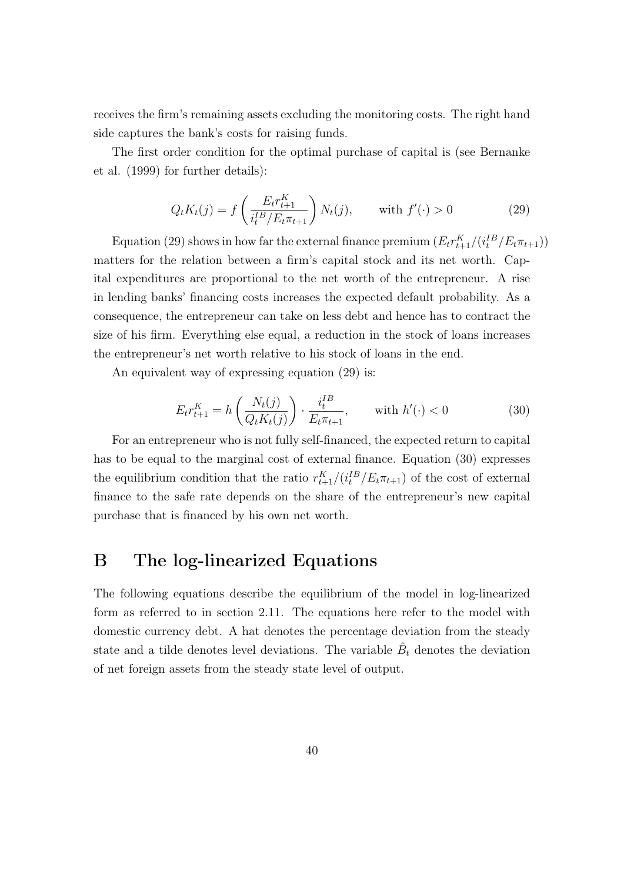receives the firm's remaining assets excluding the monitoring costs. The right hand side captures the bank's costs for raising funds.

The first order condition for the optimal purchase of capital is (see Bernanke et al. (1999) for further details):

$$
Q_t K_t(j) = f\left(\frac{E_t r_{t+1}^K}{i_t^{IB}/E_t \pi_{t+1}}\right) N_t(j), \quad \text{with } f'(\cdot) > 0 \tag{29}
$$

Equation (29) shows in how far the external finance premium  $(E_t r_{t+1}^K/(i_t^{IB}/E_t \pi_{t+1}))$ matters for the relation between a firm's capital stock and its net worth. Capital expenditures are proportional to the net worth of the entrepreneur. A rise in lending banks' financing costs increases the expected default probability. As a consequence, the entrepreneur can take on less debt and hence has to contract the size of his firm. Everything else equal, a reduction in the stock of loans increases the entrepreneur's net worth relative to his stock of loans in the end.

An equivalent way of expressing equation (29) is:

$$
E_t r_{t+1}^K = h\left(\frac{N_t(j)}{Q_t K_t(j)}\right) \cdot \frac{i_t^{IB}}{E_t \pi_{t+1}}, \quad \text{with } h'(\cdot) < 0 \tag{30}
$$

For an entrepreneur who is not fully self-financed, the expected return to capital has to be equal to the marginal cost of external finance. Equation (30) expresses the equilibrium condition that the ratio  $r_{t+1}^K/(i_t^{IB}/E_t\pi_{t+1})$  of the cost of external finance to the safe rate depends on the share of the entrepreneur's new capital purchase that is financed by his own net worth.

### B The log-linearized Equations

The following equations describe the equilibrium of the model in log-linearized form as referred to in section 2.11. The equations here refer to the model with domestic currency debt. A hat denotes the percentage deviation from the steady state and a tilde denotes level deviations. The variable  $\hat{B}_t$  denotes the deviation of net foreign assets from the steady state level of output.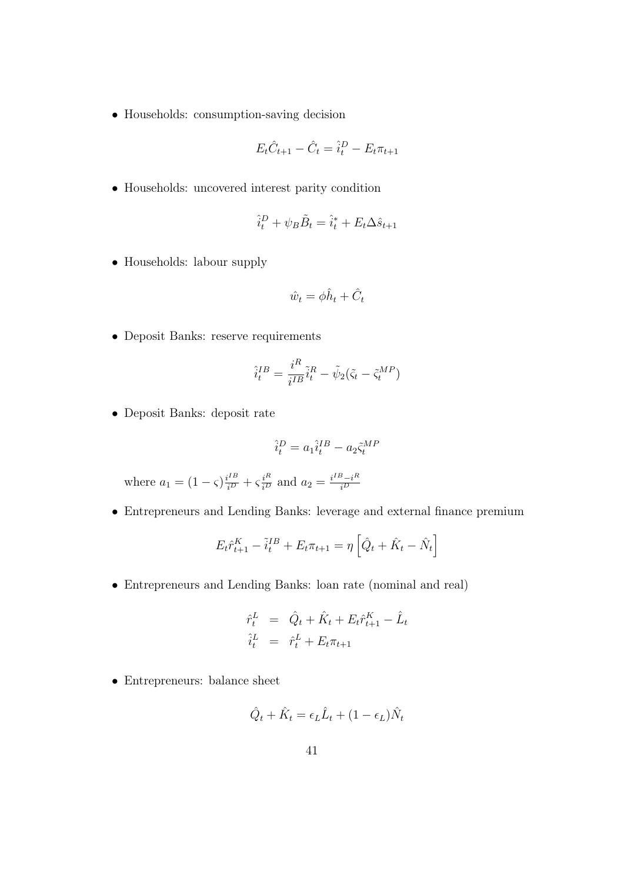• Households: consumption-saving decision

$$
E_t \hat{C}_{t+1} - \hat{C}_t = \hat{i}_t^D - E_t \pi_{t+1}
$$

• Households: uncovered interest parity condition

$$
\hat{i}_t^D + \psi_B \tilde{B}_t = \hat{i}_t^* + E_t \Delta \hat{s}_{t+1}
$$

• Households: labour supply

$$
\hat{w}_t = \phi \hat{h}_t + \hat{C}_t
$$

• Deposit Banks: reserve requirements

$$
\hat{i}_t^{IB} = \frac{i^R}{i^{IB}} \tilde{i}_t^R - \tilde{\psi}_2 (\tilde{\varsigma}_t - \tilde{\varsigma}_t^{MP})
$$

• Deposit Banks: deposit rate

$$
\hat{i}^D_t = a_1 \hat{i}^{IB}_t - a_2 \tilde{\varsigma}^{MP}_t
$$

where  $a_1 = (1 - \varsigma) \frac{i^{IB}}{i^{D}} + \varsigma \frac{i^{R}}{i^{D}}$  and  $a_2 = \frac{i^{IB} - i^{R}}{i^{D}}$  $i^D$ 

• Entrepreneurs and Lending Banks: leverage and external finance premium

$$
E_t \hat{r}_{t+1}^K - \tilde{i}_t^{IB} + E_t \pi_{t+1} = \eta \left[ \hat{Q}_t + \hat{K}_t - \hat{N}_t \right]
$$

• Entrepreneurs and Lending Banks: loan rate (nominal and real)

$$
\begin{aligned}\n\hat{r}_t^L &= \hat{Q}_t + \hat{K}_t + E_t \hat{r}_{t+1}^K - \hat{L}_t \\
\hat{i}_t^L &= \hat{r}_t^L + E_t \pi_{t+1}\n\end{aligned}
$$

• Entrepreneurs: balance sheet

$$
\hat{Q}_t + \hat{K}_t = \epsilon_L \hat{L}_t + (1 - \epsilon_L) \hat{N}_t
$$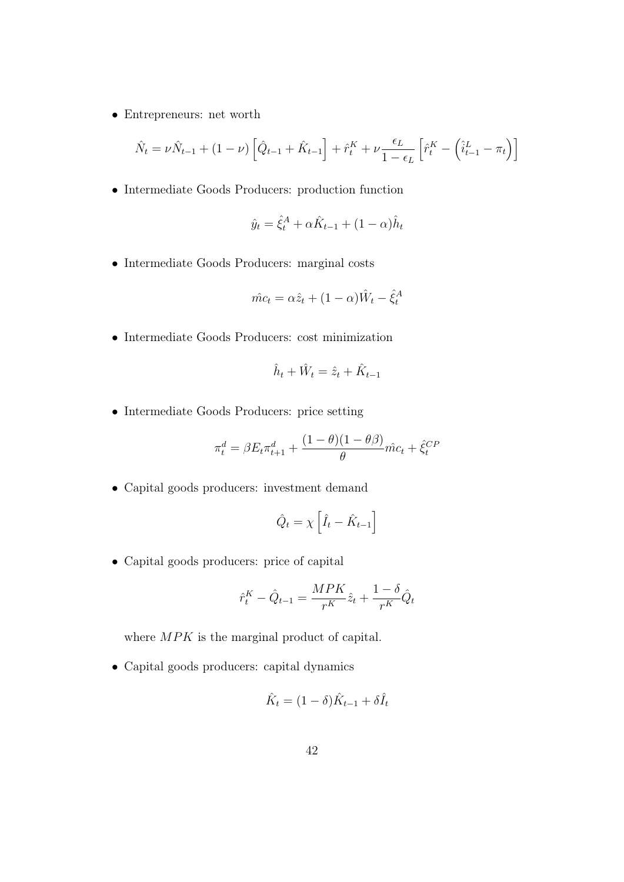• Entrepreneurs: net worth

$$
\hat{N}_t = \nu \hat{N}_{t-1} + (1 - \nu) \left[ \hat{Q}_{t-1} + \hat{K}_{t-1} \right] + \hat{r}_t^K + \nu \frac{\epsilon_L}{1 - \epsilon_L} \left[ \hat{r}_t^K - \left( \hat{i}_{t-1}^L - \pi_t \right) \right]
$$

• Intermediate Goods Producers: production function

$$
\hat{y}_t = \hat{\xi}_t^A + \alpha \hat{K}_{t-1} + (1 - \alpha) \hat{h}_t
$$

• Intermediate Goods Producers: marginal costs

$$
\hat{mc}_t = \alpha \hat{z}_t + (1 - \alpha)\hat{W}_t - \hat{\xi}_t^A
$$

• Intermediate Goods Producers: cost minimization

$$
\hat{h}_t + \hat{W}_t = \hat{z}_t + \hat{K}_{t-1}
$$

• Intermediate Goods Producers: price setting

$$
\pi_t^d = \beta E_t \pi_{t+1}^d + \frac{(1-\theta)(1-\theta\beta)}{\theta} \hat{mc}_t + \hat{\xi}_t^{CP}
$$

• Capital goods producers: investment demand

$$
\hat{Q}_t = \chi \left[ \hat{I}_t - \hat{K}_{t-1} \right]
$$

• Capital goods producers: price of capital

$$
\hat{r}_t^K - \hat{Q}_{t-1} = \frac{MPK}{r^K} \hat{z}_t + \frac{1-\delta}{r^K} \hat{Q}_t
$$

where  $MPK$  is the marginal product of capital.

• Capital goods producers: capital dynamics

$$
\hat{K}_t = (1 - \delta)\hat{K}_{t-1} + \delta\hat{I}_t
$$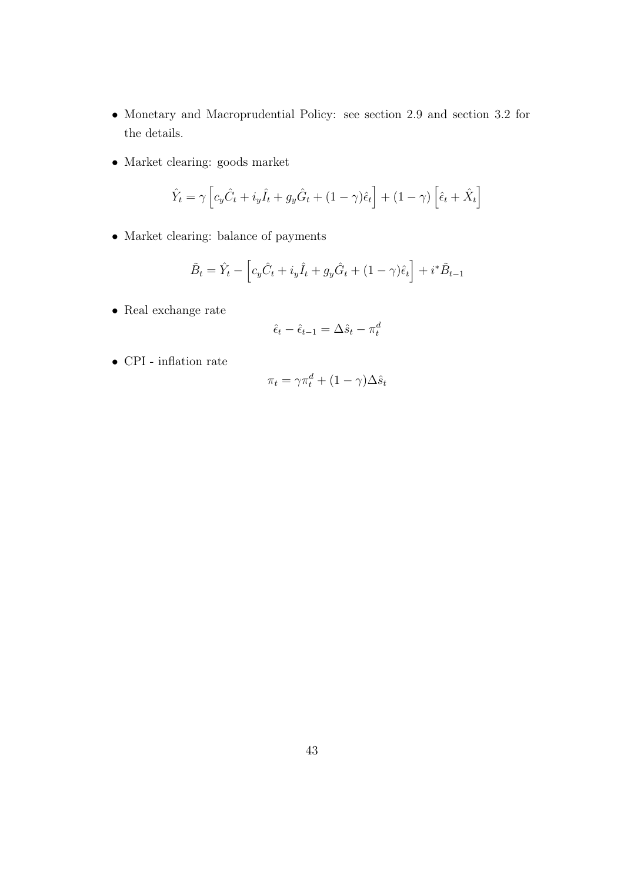- Monetary and Macroprudential Policy: see section 2.9 and section 3.2 for the details.
- Market clearing: goods market

$$
\hat{Y}_t = \gamma \left[ c_y \hat{C}_t + i_y \hat{I}_t + g_y \hat{G}_t + (1 - \gamma)\hat{\epsilon}_t \right] + (1 - \gamma) \left[ \hat{\epsilon}_t + \hat{X}_t \right]
$$

• Market clearing: balance of payments

$$
\tilde{B}_t = \hat{Y}_t - \left[c_y \hat{C}_t + i_y \hat{I}_t + g_y \hat{G}_t + (1-\gamma)\hat{\epsilon}_t\right] + i^* \tilde{B}_{t-1}
$$

• Real exchange rate

$$
\hat{\epsilon}_t - \hat{\epsilon}_{t-1} = \Delta \hat{s}_t - \pi_t^d
$$

 $\bullet\,$  CPI - inflation rate

$$
\pi_t = \gamma \pi_t^d + (1 - \gamma) \Delta \hat{s}_t
$$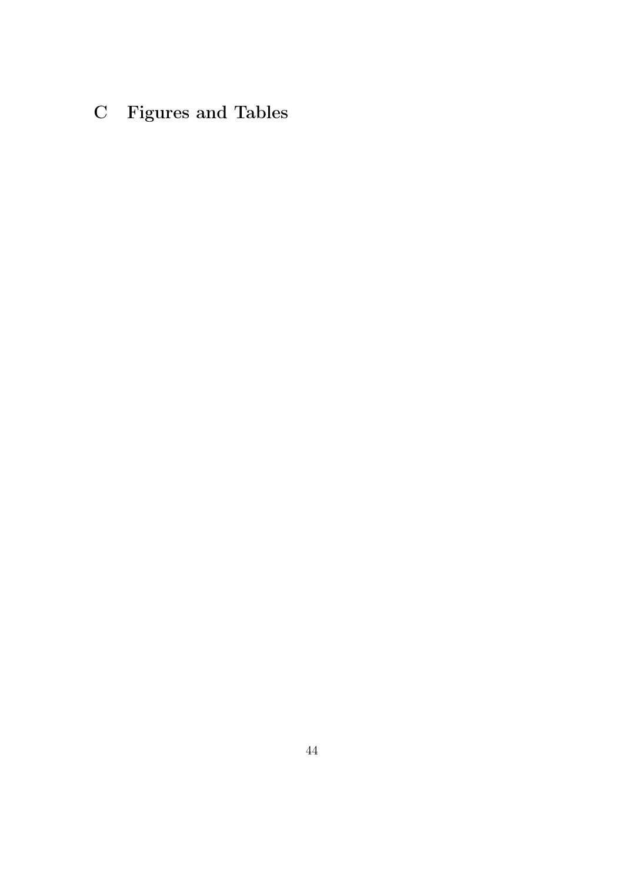## C Figures and Tables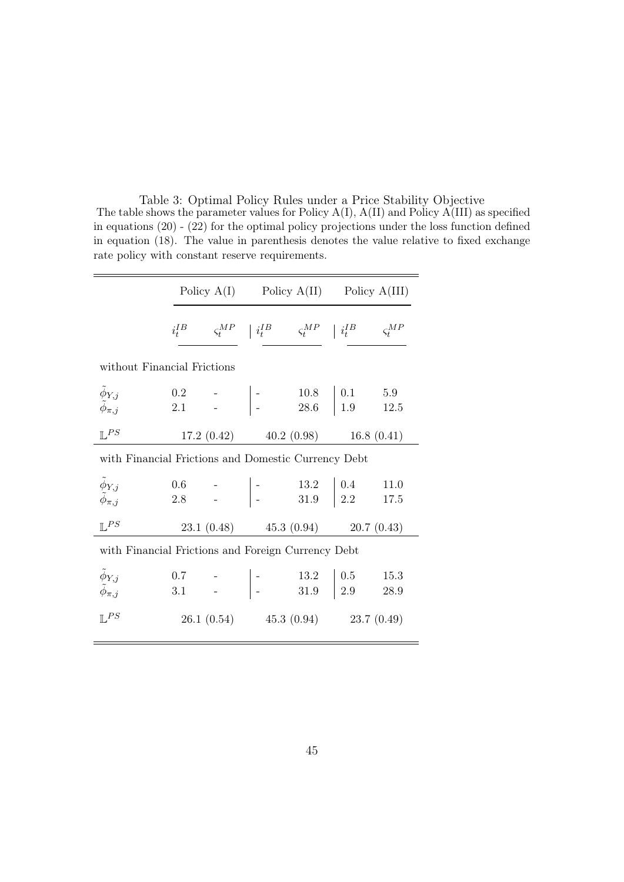Table 3: Optimal Policy Rules under a Price Stability Objective The table shows the parameter values for Policy  $A(I)$ ,  $A(II)$  and Policy  $A(III)$  as specified in equations  $(20)$  -  $(22)$  for the optimal policy projections under the loss function defined in equation  $(18)$ . The value in parenthesis denotes the value relative to fixed exchange rate policy with constant reserve requirements.

|                                                     |  |  |                                                                                                                            | Policy $A(I)$ Policy $A(II)$ Policy $A(III)$ |  |
|-----------------------------------------------------|--|--|----------------------------------------------------------------------------------------------------------------------------|----------------------------------------------|--|
|                                                     |  |  | $i^{IB}_t \qquad \varsigma^{MP}_t \quad \mid i^{IB}_t \qquad \varsigma^{MP}_t \quad \mid i^{IB}_t \qquad \varsigma^{MP}_t$ |                                              |  |
| without Financial Frictions                         |  |  |                                                                                                                            |                                              |  |
| $\tilde{\phi}_{Y,j}$<br>$\tilde{\phi}_{\pi,j}$      |  |  | $\begin{array}{c ccccc}\n 0.2 & - & - & 10.8 & 0.1 & 5.9 \\  2.1 & - & - & 28.6 & 1.9 & 12.5\n\end{array}$                 |                                              |  |
| $\mathbb{L}^{PS}$                                   |  |  | 17.2 (0.42) $40.2$ (0.98) $16.8$ (0.41)                                                                                    |                                              |  |
| with Financial Frictions and Domestic Currency Debt |  |  |                                                                                                                            |                                              |  |
| $\tilde{\phi}_{Y,j}$<br>$\tilde{\phi}_{\pi,j}$      |  |  | $\begin{array}{c ccccc}\n 0.6 & - & - & 13.2 & 0.4 & 11.0 \\  2.8 & - & - & 31.9 & 2.2 & 17.5\n\end{array}$                |                                              |  |
| $\mathbb{L}^{PS}$                                   |  |  | $23.1(0.48)$ $45.3(0.94)$ $20.7(0.43)$                                                                                     |                                              |  |
| with Financial Frictions and Foreign Currency Debt  |  |  |                                                                                                                            |                                              |  |
| $\tilde{\phi}_{Y,j}$ $\tilde{\phi}_{\pi,j}$         |  |  | $\begin{array}{c ccccc}\n0.7 & - & - & - & 13.2 & 0.5 & 15.3 \\ 3.1 & - & - & 31.9 & 2.9 & 28.9\n\end{array}$              |                                              |  |
| $\mathbb{L}^{PS}$                                   |  |  | $26.1(0.54)$ $45.3(0.94)$ $23.7(0.49)$                                                                                     |                                              |  |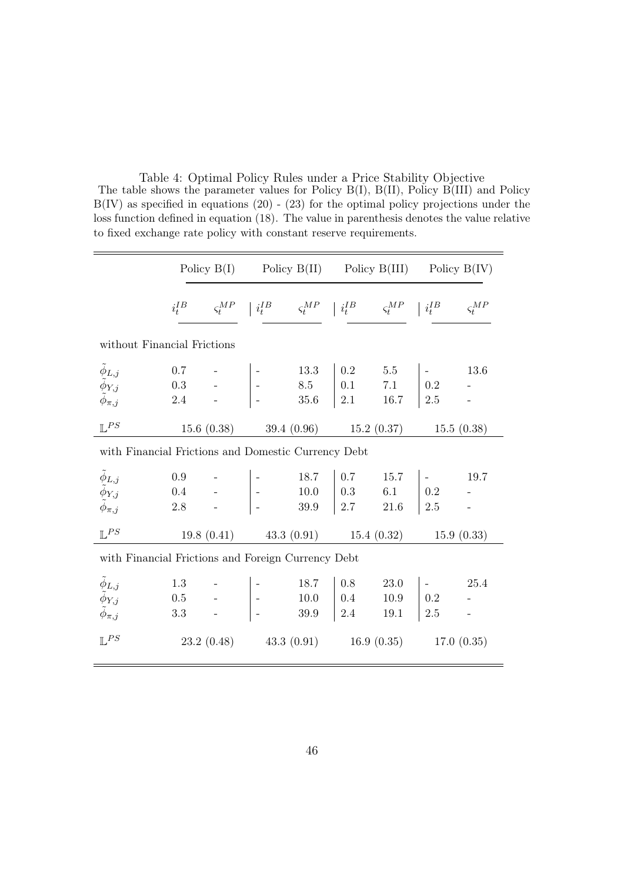| Table 4: Optimal Policy Rules under a Price Stability Objective                             |
|---------------------------------------------------------------------------------------------|
| The table shows the parameter values for Policy B(I), B(II), Policy B(III) and Policy       |
| $B(IV)$ as specified in equations (20) - (23) for the optimal policy projections under the  |
| loss function defined in equation (18). The value in parenthesis denotes the value relative |
| to fixed exchange rate policy with constant reserve requirements.                           |

|                                                                                                 | Policy $B(I)$ |  | Policy $B(II)$                                                                                                                                             |  |       |                                                                                                                                                                                                                                                                                           | Policy $B(III)$ Policy $B(IV)$                                                                |            |
|-------------------------------------------------------------------------------------------------|---------------|--|------------------------------------------------------------------------------------------------------------------------------------------------------------|--|-------|-------------------------------------------------------------------------------------------------------------------------------------------------------------------------------------------------------------------------------------------------------------------------------------------|-----------------------------------------------------------------------------------------------|------------|
|                                                                                                 |               |  |                                                                                                                                                            |  |       | $i^{IB}_t \qquad \varsigma^{MP}_t \quad \left  \begin{array}{ccc} i^{IB}_t \; & \varsigma^{MP}_t \; & \left  \begin{array}{ccc} i^{IB}_t \; & \varsigma^{MP}_t \; & \left  \begin{array}{ccc} i^{IB}_t \; & \varsigma^{MP}_t \end{array} \right. \end{array} \right. \end{array} \right.$ |                                                                                               |            |
| without Financial Frictions                                                                     |               |  |                                                                                                                                                            |  |       |                                                                                                                                                                                                                                                                                           |                                                                                               |            |
| $\begin{array}{c} \tilde{\phi}_{L,j} \\ \tilde{\phi}_{Y,j} \\ \tilde{\phi}_{\pi,j} \end{array}$ |               |  |                                                                                                                                                            |  |       | $\begin{array}{c ccccc} 0.7 & & - & & - & 13.3 & 0.2 & 5.5 \ 0.3 & & - & & - & 8.5 & 0.1 & 7.1 \ 2.4 & & - & & - & 35.6 & 2.1 & 16.7 \end{array}$                                                                                                                                         | $0.2\,$<br>2.5                                                                                | 13.6       |
| $\mathbb{L}^{PS}$                                                                               |               |  | 15.6 (0.38) 39.4 (0.96) 15.2 (0.37)                                                                                                                        |  |       |                                                                                                                                                                                                                                                                                           |                                                                                               | 15.5(0.38) |
| with Financial Frictions and Domestic Currency Debt                                             |               |  |                                                                                                                                                            |  |       |                                                                                                                                                                                                                                                                                           |                                                                                               |            |
| $\begin{array}{c} \tilde{\phi}_{L,j} \\ \tilde{\phi}_{Y,j} \\ \tilde{\phi}_{\pi,j} \end{array}$ |               |  |                                                                                                                                                            |  |       | $\begin{array}{c ccccc} 0.9 & & - & & - & 18.7 & 0.7 & 15.7 \ 0.4 & & - & & - & 10.0 & 0.3 & 6.1 \ 2.8 & & - & & - & 39.9 & 2.7 & 21.6 \end{array}$                                                                                                                                       | $\mathcal{L} = \{ \mathcal{L} \}$ , where $\mathcal{L} = \{ \mathcal{L} \}$<br>0.2<br>$2.5\,$ | 19.7       |
| $\mathbb{L}^{PS}$                                                                               |               |  | 19.8 $(0.41)$ 43.3 $(0.91)$ 15.4 $(0.32)$                                                                                                                  |  |       |                                                                                                                                                                                                                                                                                           |                                                                                               | 15.9(0.33) |
| with Financial Frictions and Foreign Currency Debt                                              |               |  |                                                                                                                                                            |  |       |                                                                                                                                                                                                                                                                                           |                                                                                               |            |
| $\begin{array}{c} \tilde{\phi}_{L,j} \\ \tilde{\phi}_{Y,j} \\ \tilde{\phi}_{\pi,j} \end{array}$ |               |  | $\begin{array}{ccc c} 1.3 & - & - \\ 0.5 & - & - \\ 3.3 & - & - \end{array}$ $\begin{array}{ccc c} - & 18.7 & 0.8 \\ 10.0 & 0.4 \\ 39.9 & 2.4 \end{array}$ |  | $2.4$ | 23.0<br>10.9<br>19.1                                                                                                                                                                                                                                                                      | 0.2<br>2.5                                                                                    | 25.4       |
| $\mathbb{L}^{PS}$                                                                               |               |  | 23.2 (0.48) 43.3 (0.91) 16.9 (0.35)                                                                                                                        |  |       |                                                                                                                                                                                                                                                                                           |                                                                                               | 17.0(0.35) |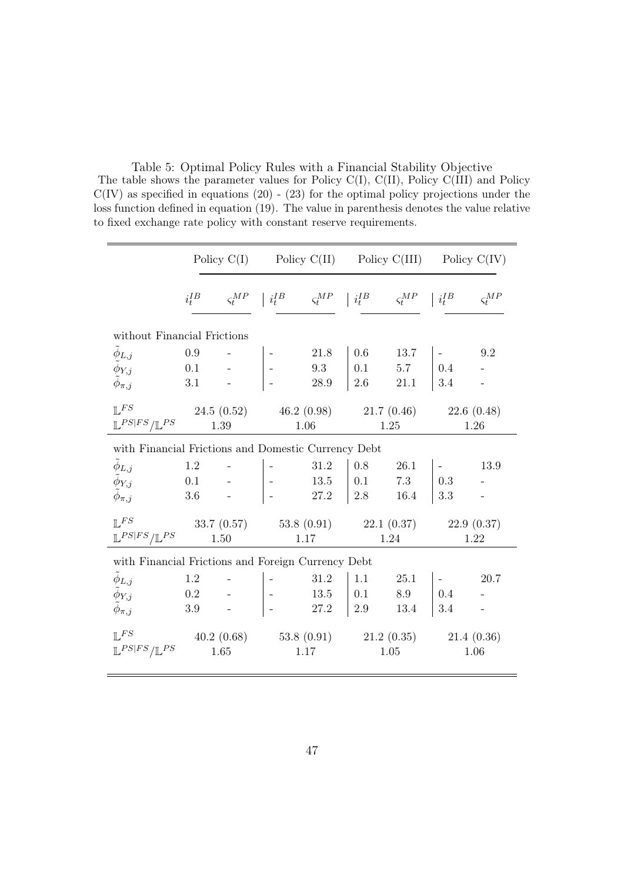Table 5: Optimal Policy Rules with a Financial Stability Objective The table shows the parameter values for Policy C(I), C(II), Policy C(III) and Policy  $C(IV)$  as specified in equations  $(20)$  -  $(23)$  for the optimal policy projections under the loss function defined in equation (19). The value in parenthesis denotes the value relative to fixed exchange rate policy with constant reserve requirements.

|                                                                | Policy $C(I)$         |         | Policy $C(II)$                                                                      |                                                |                   |                                                                                                                                                        | Policy $C(III)$ Policy $C(IV)$  |                    |
|----------------------------------------------------------------|-----------------------|---------|-------------------------------------------------------------------------------------|------------------------------------------------|-------------------|--------------------------------------------------------------------------------------------------------------------------------------------------------|---------------------------------|--------------------|
|                                                                |                       |         |                                                                                     |                                                |                   | $i^{IB}_t \qquad \zeta^{MP}_t \quad \mid i^{IB}_t \qquad \zeta^{MP}_t \quad \mid i^{IB}_t \qquad \zeta^{MP}_t \quad \mid i^{IB}_t \qquad \zeta^{MP}_t$ |                                 |                    |
| without Financial Frictions                                    |                       |         |                                                                                     |                                                |                   |                                                                                                                                                        |                                 |                    |
| $\tilde{\phi}_{L,j}$<br>$\phi_{Y,j}$<br>$\tilde{\phi}_{\pi,j}$ | 0.9<br>$0.1 -$<br>3.1 |         |                                                                                     | 21.8<br>9.3<br>28.9                            | 0.6<br>0.1<br>2.6 | 13.7<br>5.7<br>21.1                                                                                                                                    | $0.4\,$<br>3.4                  | 9.2                |
| $\mathbb{L}^{FS}$<br>$\mathbb{L}^{PS FS}/\mathbb{L}^{PS}$      |                       | 1.39    |                                                                                     | $24.5(0.52)$ $46.2(0.98)$ $21.7(0.46)$<br>1.06 |                   | 1.25                                                                                                                                                   |                                 | 22.6(0.48)<br>1.26 |
| with Financial Frictions and Domestic Currency Debt            |                       |         |                                                                                     |                                                |                   |                                                                                                                                                        |                                 |                    |
| $\phi_{L,j}$                                                   | 1.2                   |         |                                                                                     | 31.2                                           | 0.8               | 26.1                                                                                                                                                   |                                 | 13.9               |
| $\phi_{Y,j}$                                                   |                       | $0.1$ - | $\frac{1}{2} \left( \frac{1}{2} \right)$ , $\frac{1}{2} \left( \frac{1}{2} \right)$ |                                                | $13.5$   0.1 7.3  |                                                                                                                                                        | 0.3                             |                    |
| $\tilde{\phi}_{\pi,j}$                                         | 3.6                   |         |                                                                                     |                                                | $27.2$   2.8      | 16.4                                                                                                                                                   | 3.3                             |                    |
| $\mathbb{L}^{FS}$<br>$\mathbb{L}^{PS FS}/\mathbb{L}^{PS}$      | 1.50                  |         | $33.7(0.57)$ $53.8(0.91)$ $22.1(0.37)$<br>1.17                                      |                                                | 1.24              |                                                                                                                                                        | 22.9(0.37)<br>1.22              |                    |
| with Financial Frictions and Foreign Currency Debt             |                       |         |                                                                                     |                                                |                   |                                                                                                                                                        |                                 |                    |
| $\phi_{L,j}$                                                   | 1.2                   |         |                                                                                     | 31.2                                           | 1.1               | 25.1                                                                                                                                                   | $\frac{1}{2}$ and $\frac{1}{2}$ | 20.7               |
| $\phi_{Y,j}$                                                   |                       | $0.2$ - | $\frac{1}{2} \left( \frac{1}{2} \right)$ , $\frac{1}{2} \left( \frac{1}{2} \right)$ | 13.5                                           | 0.1               | 8.9                                                                                                                                                    | $0.4\,$                         |                    |
| $\phi_{\pi,j}$                                                 | 3.9                   |         |                                                                                     | 27.2                                           | $\mid$ 2.9        | 13.4                                                                                                                                                   | 3.4                             |                    |
| $\mathbb{L}^{FS}$<br>$\mathbb{L}^{PS FS}/\mathbb{L}^{PS}$      | 1.65                  |         | 40.2 (0.68) 53.8 (0.91) 21.2 (0.35)<br>$1.17\,$                                     |                                                | 1.05              |                                                                                                                                                        | 21.4(0.36)<br>1.06              |                    |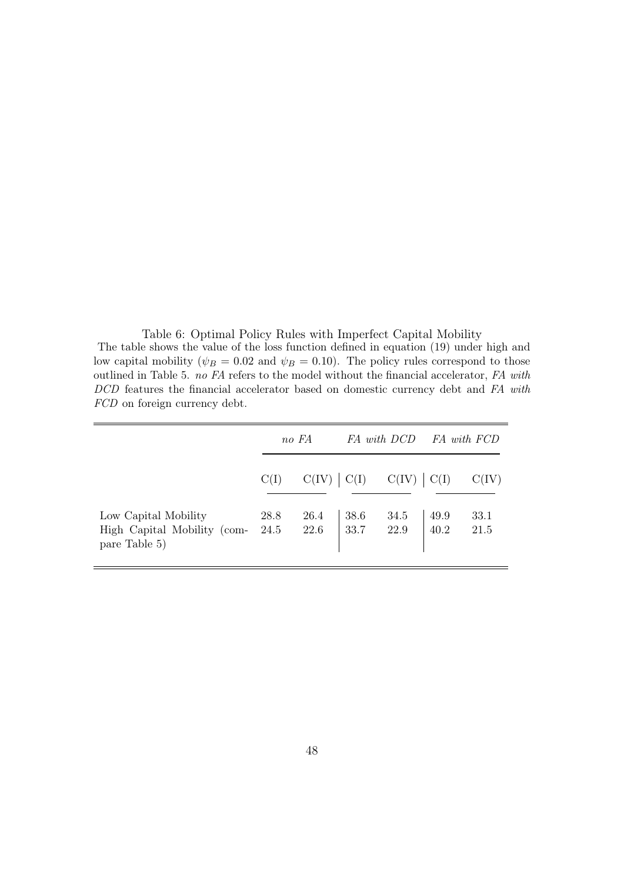Table 6: Optimal Policy Rules with Imperfect Capital Mobility The table shows the value of the loss function defined in equation (19) under high and low capital mobility ( $\psi_B = 0.02$  and  $\psi_B = 0.10$ ). The policy rules correspond to those outlined in Table 5. no FA refers to the model without the financial accelerator, FA with DCD features the financial accelerator based on domestic currency debt and FA with FCD on foreign currency debt.

|                                                                            | no FA |                               | FA with DCD FA with FCD |              |              |              |
|----------------------------------------------------------------------------|-------|-------------------------------|-------------------------|--------------|--------------|--------------|
|                                                                            | C(I)  | $C(IV)   C(I)$ $C(IV)   C(I)$ |                         |              |              | C(IV)        |
| Low Capital Mobility<br>High Capital Mobility (com- 24.5)<br>pare Table 5) | 28.8  | 26.4<br>22.6                  | 38.6<br>33.7            | 34.5<br>22.9 | 49.9<br>40.2 | 33.1<br>21.5 |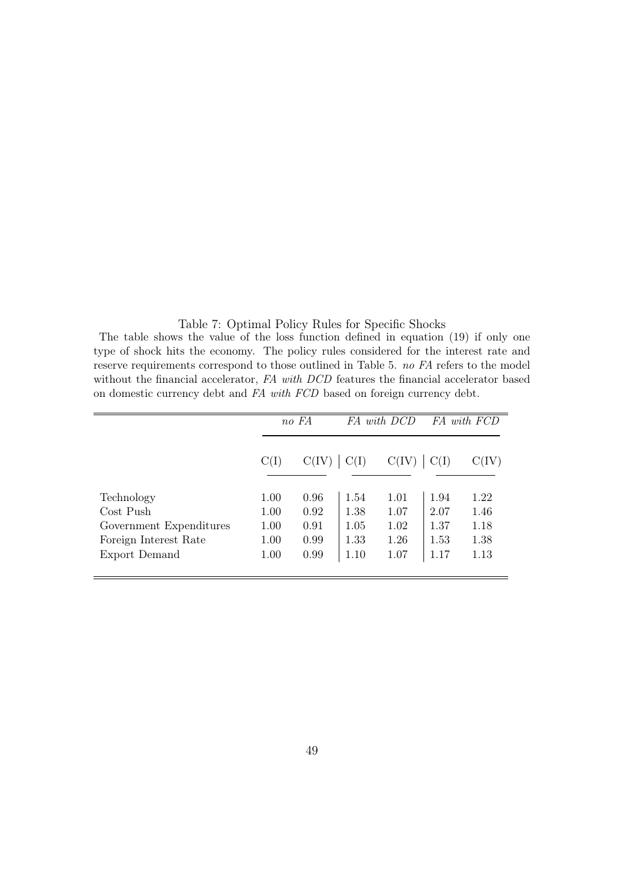Table 7: Optimal Policy Rules for Specific Shocks

The table shows the value of the loss function defined in equation (19) if only one type of shock hits the economy. The policy rules considered for the interest rate and reserve requirements correspond to those outlined in Table 5. no FA refers to the model without the financial accelerator, FA with DCD features the financial accelerator based on domestic currency debt and FA with FCD based on foreign currency debt.

|                         | no FA |       | FA with DCD |       | FA with FCD |      |
|-------------------------|-------|-------|-------------|-------|-------------|------|
|                         | C(I)  | C(IV) | C(I)        | C(IV) |             |      |
| Technology              | 1.00  | 0.96  | 1.54        | 1.01  | 1.94        | 1.22 |
| Cost Push               | 1.00  | 0.92  | 1.38        | 1.07  | 2.07        | 1.46 |
| Government Expenditures | 1.00  | 0.91  | 1.05        | 1.02  | 1.37        | 1.18 |
| Foreign Interest Rate   | 1.00  | 0.99  | 1.33        | 1.26  | 1.53        | 1.38 |
| Export Demand           | 1.00  | 0.99  | 1.10        | 1.07  | 1.17        | 1.13 |
|                         |       |       |             |       |             |      |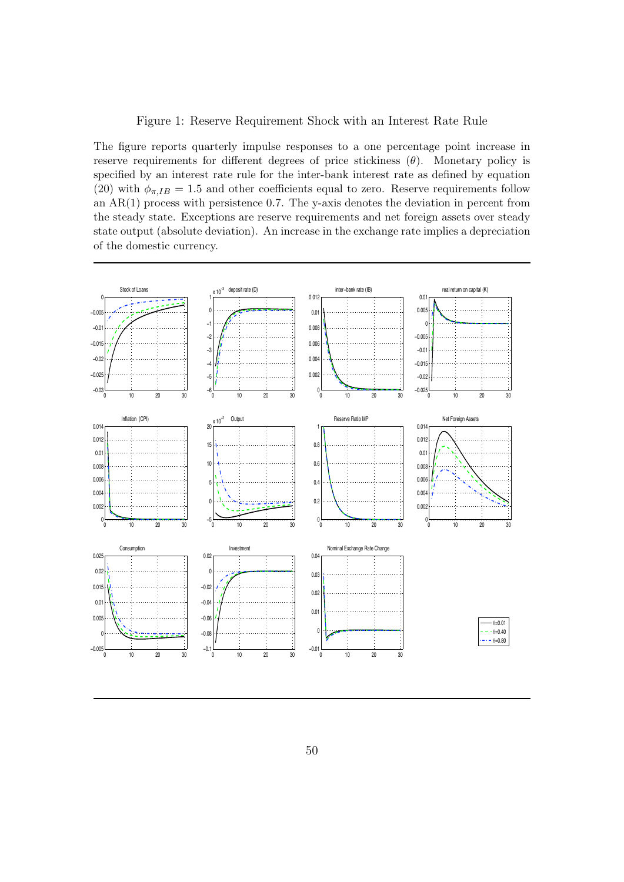#### Figure 1: Reserve Requirement Shock with an Interest Rate Rule

The figure reports quarterly impulse responses to a one percentage point increase in reserve requirements for different degrees of price stickiness  $(\theta)$ . Monetary policy is specified by an interest rate rule for the inter-bank interest rate as defined by equation (20) with  $\phi_{\pi,IB} = 1.5$  and other coefficients equal to zero. Reserve requirements follow an AR(1) process with persistence 0.7. The y-axis denotes the deviation in percent from the steady state. Exceptions are reserve requirements and net foreign assets over steady state output (absolute deviation). An increase in the exchange rate implies a depreciation of the domestic currency.

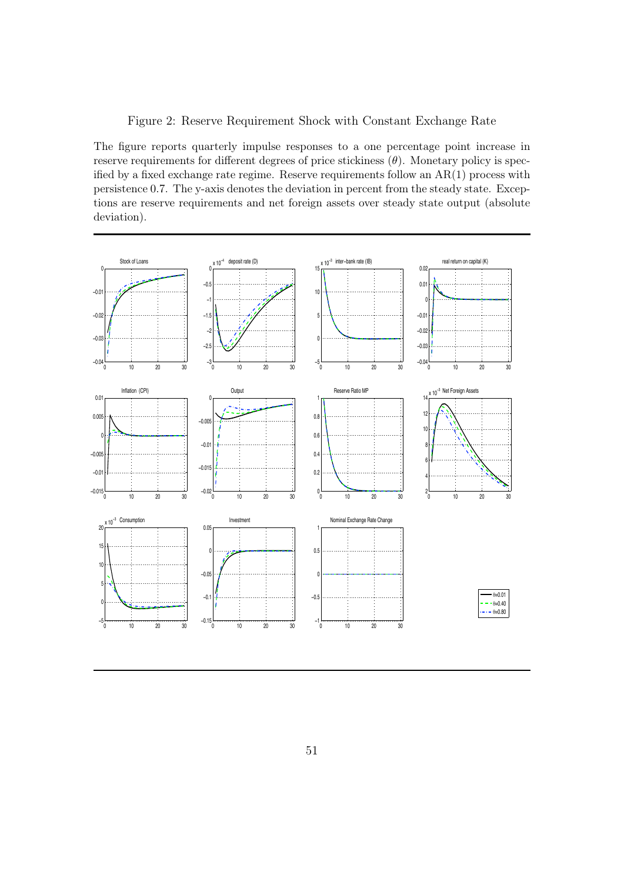Figure 2: Reserve Requirement Shock with Constant Exchange Rate

The figure reports quarterly impulse responses to a one percentage point increase in reserve requirements for different degrees of price stickiness  $(\theta)$ . Monetary policy is specified by a fixed exchange rate regime. Reserve requirements follow an AR(1) process with persistence 0.7. The y-axis denotes the deviation in percent from the steady state. Exceptions are reserve requirements and net foreign assets over steady state output (absolute deviation).

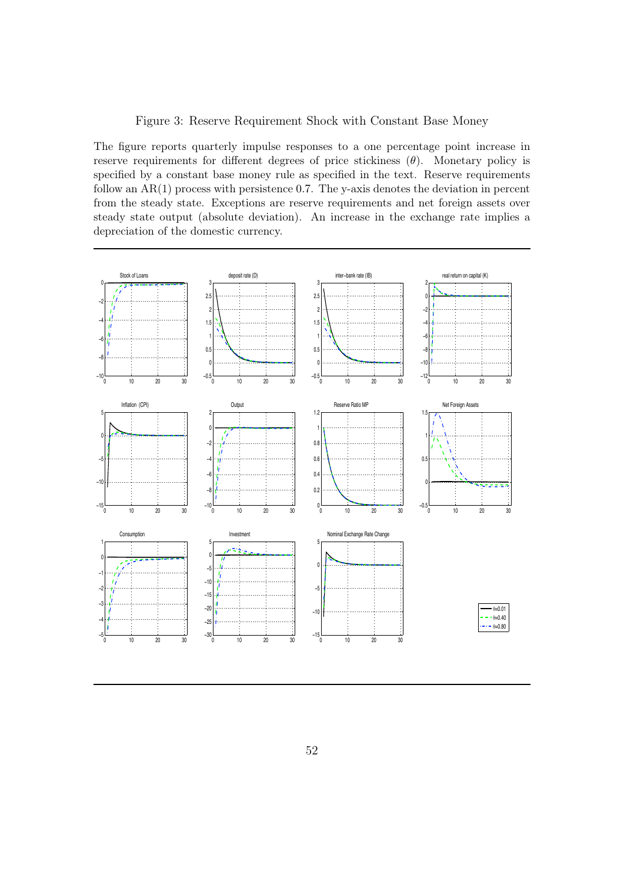#### Figure 3: Reserve Requirement Shock with Constant Base Money

The figure reports quarterly impulse responses to a one percentage point increase in reserve requirements for different degrees of price stickiness  $(\theta)$ . Monetary policy is specified by a constant base money rule as specified in the text. Reserve requirements follow an  $AR(1)$  process with persistence 0.7. The y-axis denotes the deviation in percent from the steady state. Exceptions are reserve requirements and net foreign assets over steady state output (absolute deviation). An increase in the exchange rate implies a depreciation of the domestic currency.

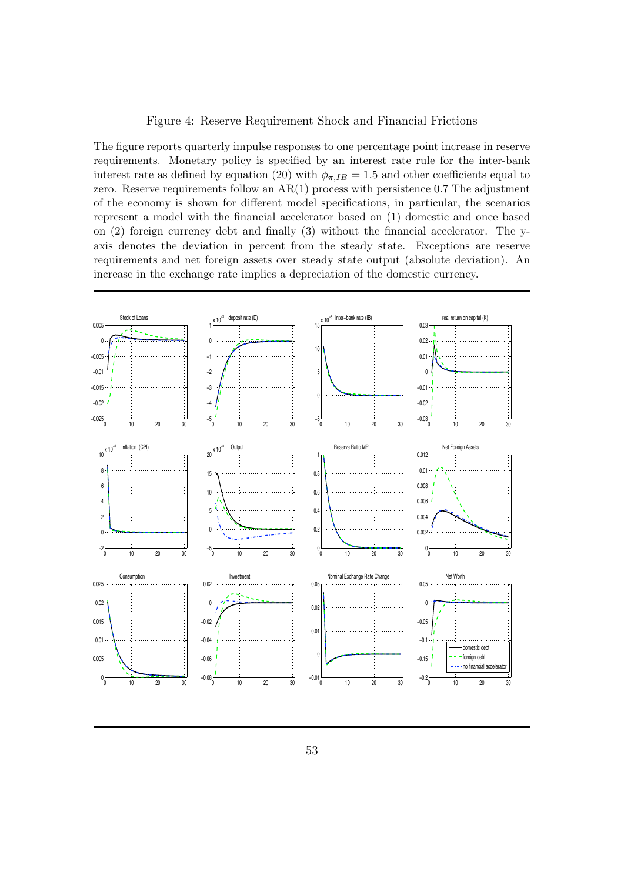#### Figure 4: Reserve Requirement Shock and Financial Frictions

The figure reports quarterly impulse responses to one percentage point increase in reserve requirements. Monetary policy is specified by an interest rate rule for the inter-bank interest rate as defined by equation (20) with  $\phi_{\pi,IB} = 1.5$  and other coefficients equal to zero. Reserve requirements follow an  $AR(1)$  process with persistence 0.7 The adjustment of the economy is shown for different model specifications, in particular, the scenarios represent a model with the financial accelerator based on (1) domestic and once based on (2) foreign currency debt and finally (3) without the financial accelerator. The yaxis denotes the deviation in percent from the steady state. Exceptions are reserve requirements and net foreign assets over steady state output (absolute deviation). An increase in the exchange rate implies a depreciation of the domestic currency.

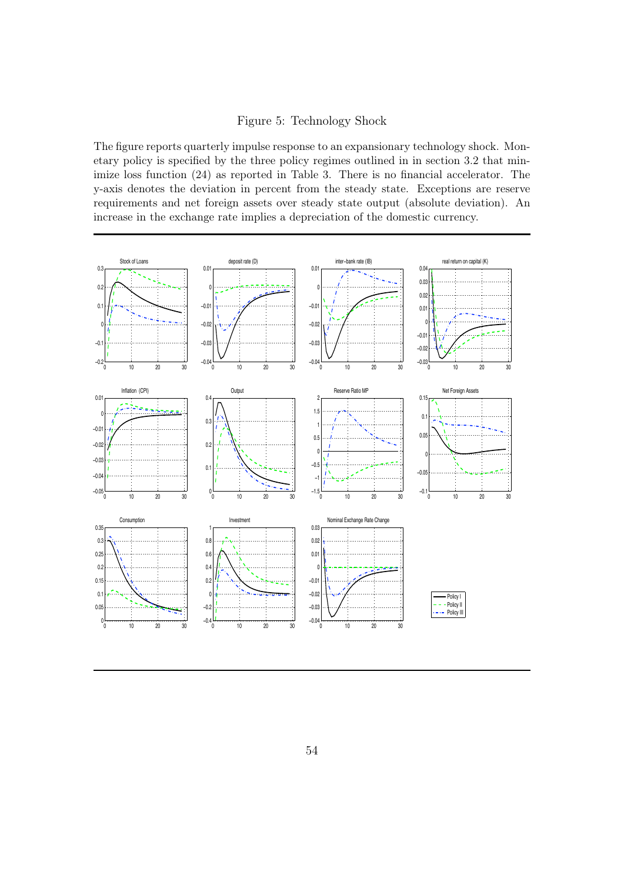#### Figure 5: Technology Shock

The figure reports quarterly impulse response to an expansionary technology shock. Monetary policy is specified by the three policy regimes outlined in in section 3.2 that minimize loss function (24) as reported in Table 3. There is no financial accelerator. The y-axis denotes the deviation in percent from the steady state. Exceptions are reserve requirements and net foreign assets over steady state output (absolute deviation). An increase in the exchange rate implies a depreciation of the domestic currency.